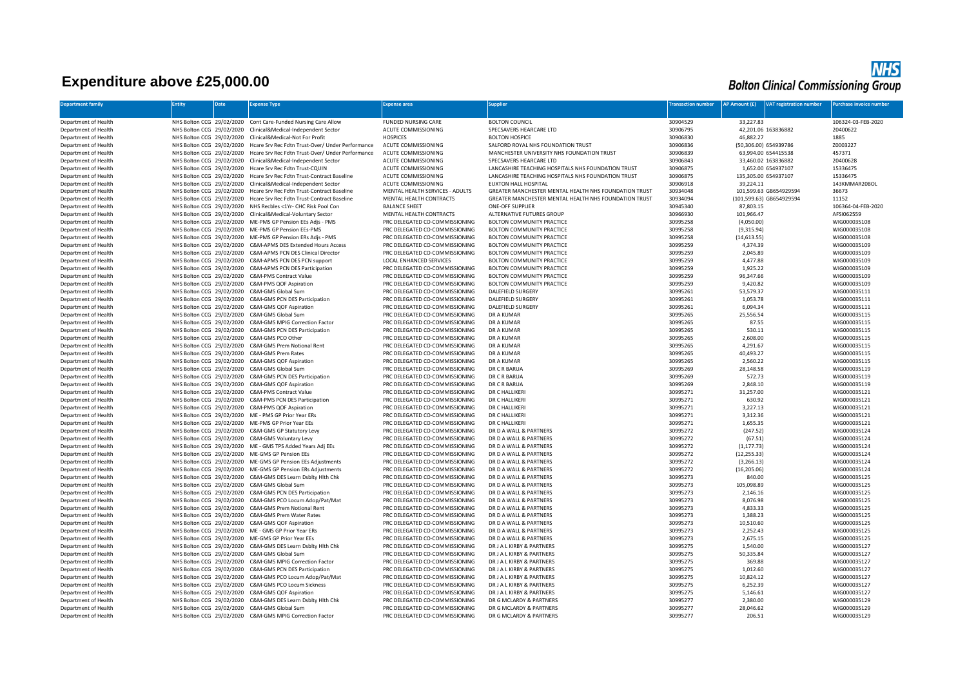## **Expenditure above £25,000.00**

## **NHS**<br>Bolton Clinical Commissioning Group

| <b>Department family</b>                     | Entity                    | Date | Expense Type                                                                                                | Expense area                                                     | upplier                                               | ransaction number    | <b>AP Amount (£)</b>  | <b>VAT registration number</b> | urchase invoice number       |
|----------------------------------------------|---------------------------|------|-------------------------------------------------------------------------------------------------------------|------------------------------------------------------------------|-------------------------------------------------------|----------------------|-----------------------|--------------------------------|------------------------------|
|                                              |                           |      |                                                                                                             |                                                                  |                                                       |                      |                       |                                |                              |
| Department of Health                         |                           |      | NHS Bolton CCG 29/02/2020 Cont Care-Funded Nursing Care Allow                                               | <b>FUNDED NURSING CARE</b>                                       | <b>BOLTON COUNCIL</b>                                 | 30904529             | 33,227.83             |                                | 106324-03-FEB-2020           |
| Department of Health                         | NHS Bolton CCG 29/02/2020 |      | Clinical&Medical-Independent Sector                                                                         | ACUTE COMMISSIONING                                              | SPECSAVERS HEARCARE LTD                               | 30906795             |                       | 42,201.06 163836882            | 20400622                     |
| Department of Health                         | NHS Bolton CCG 29/02/2020 |      | Clinical&Medical-Not For Profit                                                                             | <b>HOSPICES</b>                                                  | <b>BOLTON HOSPICE</b>                                 | 30906830             | 46,882.27             |                                | 1885                         |
| Department of Health                         | NHS Bolton CCG 29/02/2020 |      | Hcare Srv Rec Fdtn Trust-Over/ Under Performance                                                            | ACUTE COMMISSIONING                                              | SALFORD ROYAL NHS FOUNDATION TRUST                    | 30906836             | (50.306.00) 654939786 |                                | Z0003227                     |
| Department of Health                         | NHS Bolton CCG 29/02/2020 |      | Hcare Srv Rec Fdtn Trust-Over/ Under Performance                                                            | ACUTE COMMISSIONING                                              | MANCHESTER UNIVERSITY NHS FOUNDATION TRUST            | 30906839             |                       | 63,994.00 654415538            | 457371                       |
| Department of Health                         | NHS Bolton CCG 29/02/2020 |      | Clinical&Medical-Independent Sector                                                                         | ACUTE COMMISSIONING                                              | SPECSAVERS HEARCARE LTD                               | 30906843             |                       | 33,460.02 163836882            | 20400628                     |
| Department of Health                         | NHS Bolton CCG 29/02/2020 |      | Hcare Srv Rec Fdtn Trust-COUIN                                                                              | ACUTE COMMISSIONING                                              | LANCASHIRE TEACHING HOSPITALS NHS FOUNDATION TRUST    | 30906875             |                       | 1.652.00 654937107             | 15336475                     |
| Department of Health                         | NHS Bolton CCG 29/02/2020 |      | Hcare Srv Rec Fdtn Trust-Contract Baseline                                                                  | ACUTE COMMISSIONING                                              | LANCASHIRE TEACHING HOSPITALS NHS FOUNDATION TRUST    | 30906875             |                       | 135,305.00 654937107           | 15336475                     |
| Department of Health                         | NHS Bolton CCG 29/02/2020 |      | Clinical&Medical-Independent Sector                                                                         | ACUTE COMMISSIONING                                              | <b>FUXTON HALL HOSPITAL</b>                           | 30906918             | 39,224.11             |                                | 143KMMAR20BOL                |
| Department of Health                         | NHS Bolton CCG 29/02/2020 |      | Hcare Srv Rec Fdtn Trust-Contract Baseline                                                                  | MENTAL HEALTH SERVICES - ADULTS                                  | GREATER MANCHESTER MENTAL HEALTH NHS FOUNDATION TRUST | 30934048             |                       | 101,599.63 GB654929594         | 36673                        |
| Department of Health                         | NHS Bolton CCG 29/02/2020 |      | Hcare Srv Rec Fdtn Trust-Contract Baseline                                                                  | MENTAL HEALTH CONTRACTS                                          | GREATER MANCHESTER MENTAL HEALTH NHS FOUNDATION TRUST | 30934094             |                       | (101,599.63) GB654929594       | 11152                        |
| Department of Health                         | NHS Bolton CCG 29/02/2020 |      | NHS Recbles <1Yr- CHC Risk Pool Con                                                                         | <b>BALANCE SHEET</b>                                             | ONE-OFF SUPPLIER                                      | 30945340             | 87,803.15             |                                | 106364-04-FEB-2020           |
| Department of Health                         | NHS Bolton CCG 29/02/2020 |      | Clinical&Medical-Voluntary Sector                                                                           | MENTAL HEALTH CONTRACTS                                          | ALTERNATIVE FUTURES GROUP                             | 30966930             | 101,966.47            |                                | AFSI062559                   |
| Department of Health                         | NHS Bolton CCG 29/02/2020 |      | ME-PMS GP Pension EEs Adis - PMS                                                                            | PRC DELEGATED CO-COMMISSIONING                                   | <b>BOLTON COMMUNITY PRACTICE</b>                      | 30995258             | (4,050.00)            |                                | WIG000035108                 |
| Department of Health                         | NHS Bolton CCG 29/02/2020 |      | ME-PMS GP Pension EEs-PMS                                                                                   | PRC DELEGATED CO-COMMISSIONING                                   | BOLTON COMMUNITY PRACTICE                             | 30995258             | (9,315.94)            |                                | WIG000035108                 |
| Department of Health                         | NHS Bolton CCG 29/02/2020 |      | ME-PMS GP Pension ERs Adjs - PMS                                                                            | PRC DELEGATED CO-COMMISSIONING                                   | BOLTON COMMUNITY PRACTICE                             | 30995258             | (14, 613.55)          |                                | WIG000035108                 |
| Department of Health                         | NHS Bolton CCG 29/02/2020 |      | C&M-APMS DES Extended Hours Access                                                                          | PRC DELEGATED CO-COMMISSIONING                                   | BOLTON COMMUNITY PRACTICE                             | 30995259             | 4,374.39              |                                | WIG000035109                 |
| Department of Health                         | NHS Bolton CCG 29/02/2020 |      | C&M-APMS PCN DES Clinical Director                                                                          | PRC DELEGATED CO-COMMISSIONING                                   | <b>BOLTON COMMUNITY PRACTICE</b>                      | 30995259             | 2,045.89              |                                | WIG000035109                 |
| Department of Health                         | NHS Bolton CCG 29/02/2020 |      | C&M-APMS PCN DES PCN support                                                                                | <b>LOCAL ENHANCED SERVICES</b>                                   | <b>BOLTON COMMUNITY PRACTICE</b>                      | 30995259             | 4.477.88              |                                | WIG000035109                 |
| Department of Health                         | NHS Bolton CCG 29/02/2020 |      | C&M-APMS PCN DES Participation                                                                              | PRC DELEGATED CO-COMMISSIONING                                   | BOLTON COMMUNITY PRACTICE                             | 30995259             | 1,925.22              |                                | WIG000035109                 |
| Department of Health                         | NHS Bolton CCG 29/02/2020 |      | <b>C&amp;M-PMS Contract Value</b>                                                                           | PRC DELEGATED CO-COMMISSIONING                                   | BOLTON COMMUNITY PRACTICE                             | 30995259             | 96,347.66             |                                | WIG000035109                 |
| Department of Health                         |                           |      | NHS Bolton CCG 29/02/2020 C&M-PMS QOF Aspiration                                                            | PRC DELEGATED CO-COMMISSIONING                                   | BOLTON COMMUNITY PRACTICE                             | 30995259             | 9,420.82              |                                | WIG000035109                 |
| Department of Health                         |                           |      | NHS Bolton CCG 29/02/2020 C&M-GMS Global Sum                                                                | PRC DELEGATED CO-COMMISSIONING                                   | <b>DALEFIELD SURGERY</b>                              | 30995261             | 53,579.37             |                                | WIG000035111                 |
| Department of Health                         | NHS Bolton CCG 29/02/2020 |      | C&M-GMS PCN DES Participation                                                                               | PRC DELEGATED CO-COMMISSIONING                                   | <b>DALEFIELD SURGERY</b>                              | 30995261             | 1,053.78              |                                | WIG000035111                 |
| Department of Health                         | NHS Bolton CCG 29/02/2020 |      | C&M-GMS QOF Aspiration                                                                                      | PRC DELEGATED CO-COMMISSIONING                                   | <b>DALEFIELD SURGERY</b>                              | 30995261             | 6,094.34              |                                | WIG000035111                 |
| Department of Health                         | NHS Bolton CCG 29/02/2020 |      | C&M-GMS Global Sum                                                                                          | PRC DELEGATED CO-COMMISSIONING                                   | <b>DR A KUMAR</b>                                     | 30995265             | 25,556.54             |                                | WIG000035115                 |
| Department of Health                         | NHS Bolton CCG 29/02/2020 |      | C&M-GMS MPIG Correction Factor                                                                              | PRC DELEGATED CO-COMMISSIONING                                   | DR A KUMAR                                            | 30995265             | 87.55                 |                                | WIG000035115                 |
| Department of Health                         | NHS Bolton CCG 29/02/2020 |      | C&M-GMS PCN DES Participation                                                                               | PRC DELEGATED CO-COMMISSIONING                                   | <b>DR A KUMAR</b>                                     | 30995265             | 530.11                |                                | WIG000035115                 |
| Department of Health                         | NHS Bolton CCG 29/02/2020 |      | C&M-GMS PCO Other                                                                                           | PRC DELEGATED CO-COMMISSIONING                                   | DR A KUMAF                                            | 30995265             | 2,608.00              |                                | WIG000035115                 |
| Department of Health                         | NHS Bolton CCG 29/02/2020 |      | C&M-GMS Prem Notional Rent                                                                                  | PRC DELEGATED CO-COMMISSIONING                                   | DR A KUMAR                                            | 30995265             | 4,291.67              |                                | WIG000035115                 |
| Department of Health                         | NHS Bolton CCG 29/02/2020 |      | C&M-GMS Prem Rates                                                                                          | PRC DELEGATED CO-COMMISSIONING                                   | <b>DR A KUMAR</b>                                     | 30995265             | 40,493.27             |                                | WIG000035115                 |
| Department of Health                         | NHS Bolton CCG 29/02/2020 |      | C&M-GMS QOF Aspiration                                                                                      | PRC DELEGATED CO-COMMISSIONING                                   | DR A KUMAR                                            | 30995265             | 2,560.22              |                                | WIG000035115                 |
| Department of Health                         | NHS Bolton CCG 29/02/2020 |      | C&M-GMS Global Sum                                                                                          | PRC DELEGATED CO-COMMISSIONING                                   | DR C R BARUA                                          | 30995269             | 28,148.58             |                                | WIG000035119                 |
| Department of Health                         | NHS Bolton CCG 29/02/2020 |      | C&M-GMS PCN DES Participation                                                                               | PRC DELEGATED CO-COMMISSIONING                                   | DR C R BARUA                                          | 30995269             | 572.73                |                                | WIG000035119                 |
| Department of Health                         | NHS Bolton CCG 29/02/2020 |      | C&M-GMS QOF Aspiration                                                                                      | PRC DELEGATED CO-COMMISSIONING                                   | DR C R BARUA                                          | 30995269             | 2,848.10              |                                | WIG000035119                 |
| Department of Health                         | NHS Bolton CCG 29/02/2020 |      | <b>C&amp;M-PMS Contract Value</b>                                                                           | PRC DELEGATED CO-COMMISSIONING                                   | DR C HALLIKERI                                        | 30995271             | 31,257.00             |                                | WIG000035121                 |
| Department of Health<br>Department of Health |                           |      | NHS Bolton CCG 29/02/2020 C&M-PMS PCN DES Participation<br>NHS Bolton CCG 29/02/2020 C&M-PMS QOF Aspiration | PRC DELEGATED CO-COMMISSIONING<br>PRC DELEGATED CO-COMMISSIONING | DR C HALLIKERI<br>DR C HALLIKERI                      | 30995271<br>30995271 | 630.92<br>3.227.13    |                                | WIG000035121<br>WIG000035121 |
| Department of Health                         |                           |      | NHS Bolton CCG 29/02/2020 ME - PMS GP Prior Year ERs                                                        | PRC DELEGATED CO-COMMISSIONING                                   | DR C HALLIKERI                                        | 30995271             | 3,312.36              |                                | WIG000035121                 |
| Department of Health                         |                           |      | NHS Bolton CCG 29/02/2020 ME-PMS GP Prior Year EEs                                                          | PRC DELEGATED CO-COMMISSIONING                                   | DR C HALLIKERI                                        | 30995271             | 1,655.35              |                                | WIG000035121                 |
| Department of Health                         |                           |      | NHS Bolton CCG 29/02/2020 C&M-GMS GP Statutory Levy                                                         | PRC DELEGATED CO-COMMISSIONING                                   | DR D A WALL & PARTNERS                                | 30995272             | (247.52)              |                                | WIG000035124                 |
| Department of Health                         |                           |      | NHS Bolton CCG 29/02/2020 C&M-GMS Voluntary Levy                                                            | PRC DELEGATED CO-COMMISSIONING                                   | DR D A WALL & PARTNERS                                | 30995272             | (67.51)               |                                | WIG000035124                 |
| Department of Health                         |                           |      | NHS Bolton CCG 29/02/2020 ME - GMS TPS Added Years Adj EEs                                                  | PRC DELEGATED CO-COMMISSIONING                                   | DR D A WALL & PARTNERS                                | 30995272             | (1, 177.73)           |                                | WIG000035124                 |
| Department of Health                         | NHS Bolton CCG 29/02/2020 |      | ME-GMS GP Pension EEs                                                                                       | PRC DELEGATED CO-COMMISSIONING                                   | DR D A WALL & PARTNERS                                | 30995272             | (12, 255.33)          |                                | WIG000035124                 |
| Department of Health                         | NHS Bolton CCG 29/02/2020 |      | ME-GMS GP Pension EEs Adjustments                                                                           | PRC DELEGATED CO-COMMISSIONING                                   | DR D A WALL & PARTNERS                                | 30995272             | (3, 266.13)           |                                | WIG000035124                 |
| Department of Health                         | NHS Bolton CCG 29/02/2020 |      | ME-GMS GP Pension ERs Adjustments                                                                           | PRC DELEGATED CO-COMMISSIONING                                   | DR D A WALL & PARTNERS                                | 30995272             | (16, 205.06)          |                                | WIG000035124                 |
| Department of Health                         |                           |      | NHS Bolton CCG 29/02/2020 C&M-GMS DES Learn Dsblty Hlth Chk                                                 | PRC DELEGATED CO-COMMISSIONING                                   | DR D A WALL & PARTNERS                                | 30995273             | 840.00                |                                | WIG000035125                 |
| Department of Health                         |                           |      | NHS Bolton CCG 29/02/2020 C&M-GMS Global Sum                                                                | PRC DELEGATED CO-COMMISSIONING                                   | DR D A WALL & PARTNERS                                | 30995273             | 105,098.89            |                                | WIG000035125                 |
| Department of Health                         | NHS Bolton CCG 29/02/2020 |      | C&M-GMS PCN DES Participation                                                                               | PRC DELEGATED CO-COMMISSIONING                                   | DR D A WALL & PARTNERS                                | 30995273             | 2,146.16              |                                | WIG000035125                 |
| Department of Health                         | NHS Bolton CCG 29/02/2020 |      | C&M-GMS PCO Locum Adop/Pat/Mat                                                                              | PRC DELEGATED CO-COMMISSIONING                                   | DR D A WALL & PARTNERS                                | 30995273             | 8,076.98              |                                | WIG000035125                 |
| Department of Health                         | NHS Bolton CCG 29/02/2020 |      | C&M-GMS Prem Notional Rent                                                                                  | PRC DELEGATED CO-COMMISSIONING                                   | DR D A WALL & PARTNERS                                | 30995273             | 4.833.33              |                                | WIG000035125                 |
| Department of Health                         | NHS Bolton CCG 29/02/2020 |      | C&M-GMS Prem Water Rates                                                                                    | PRC DELEGATED CO-COMMISSIONING                                   | DR D A WALL & PARTNERS                                | 30995273             | 1,388.23              |                                | WIG000035125                 |
| Department of Health                         | NHS Bolton CCG 29/02/2020 |      | C&M-GMS QOF Aspiration                                                                                      | PRC DELEGATED CO-COMMISSIONING                                   | DR D A WALL & PARTNERS                                | 30995273             | 10,510.60             |                                | WIG000035125                 |
| Department of Health                         | NHS Bolton CCG 29/02/2020 |      | MF - GMS GP Prior Year FRs                                                                                  | PRC DELEGATED CO-COMMISSIONING                                   | DR D A WALL & PARTNERS                                | 30995273             | 2,252.43              |                                | WIG000035125                 |
| Department of Health                         | NHS Bolton CCG 29/02/2020 |      | ME-GMS GP Prior Year EEs                                                                                    | PRC DELEGATED CO-COMMISSIONING                                   | DR D A WALL & PARTNERS                                | 30995273             | 2,675.15              |                                | WIG000035125                 |
| Department of Health                         | NHS Bolton CCG 29/02/2020 |      | C&M-GMS DES Learn Dsblty Hlth Chk                                                                           | PRC DELEGATED CO-COMMISSIONING                                   | DR J A L KIRBY & PARTNERS                             | 30995275             | 1,540.00              |                                | WIG000035127                 |
| Department of Health                         |                           |      | NHS Bolton CCG 29/02/2020 C&M-GMS Global Sum                                                                | PRC DELEGATED CO-COMMISSIONING                                   | DR J A L KIRBY & PARTNERS                             | 30995275             | 50,335.84             |                                | WIG000035127                 |
| Department of Health                         | NHS Bolton CCG 29/02/2020 |      | C&M-GMS MPIG Correction Factor                                                                              | PRC DELEGATED CO-COMMISSIONING                                   | DR J A L KIRBY & PARTNERS                             | 30995275             | 369.88                |                                | WIG000035127                 |
| Department of Health                         | NHS Bolton CCG 29/02/2020 |      | C&M-GMS PCN DES Participation                                                                               | PRC DELEGATED CO-COMMISSIONING                                   | DR J A L KIRBY & PARTNERS                             | 30995275             | 1,012.60              |                                | WIG000035127                 |
| Department of Health                         | NHS Bolton CCG 29/02/2020 |      | C&M-GMS PCO Locum Adop/Pat/Mat                                                                              | PRC DELEGATED CO-COMMISSIONING                                   | DR J A L KIRBY & PARTNERS                             | 30995275             | 10,824.12             |                                | WIG000035127                 |
| Department of Health                         | NHS Bolton CCG 29/02/2020 |      | C&M-GMS PCO Locum Sickness                                                                                  | PRC DELEGATED CO-COMMISSIONING                                   | DR J A L KIRBY & PARTNERS                             | 30995275             | 6,252.39              |                                | WIG000035127                 |
| Department of Health                         | NHS Bolton CCG 29/02/2020 |      | C&M-GMS QOF Aspiration                                                                                      | PRC DELEGATED CO-COMMISSIONING                                   | DR J A L KIRBY & PARTNERS                             | 30995275             | 5,146.61              |                                | WIG000035127                 |
| Department of Health                         | NHS Bolton CCG 29/02/2020 |      | C&M-GMS DES Learn Dsblty Hith Chk                                                                           | PRC DELEGATED CO-COMMISSIONING                                   | DR G MCLARDY & PARTNERS                               | 30995277             | 2,380.00              |                                | WIG000035129                 |
| Department of Health                         | NHS Bolton CCG 29/02/2020 |      | C&M-GMS Global Sum                                                                                          | PRC DELEGATED CO-COMMISSIONING                                   | DR G MCLARDY & PARTNERS                               | 30995277             | 28,046.62             |                                | WIG000035129                 |
| Department of Health                         |                           |      | NHS Bolton CCG 29/02/2020 C&M-GMS MPIG Correction Factor                                                    | PRC DELEGATED CO-COMMISSIONING                                   | DR G MCLARDY & PARTNERS                               | 30995277             | 206.51                |                                | WIG000035129                 |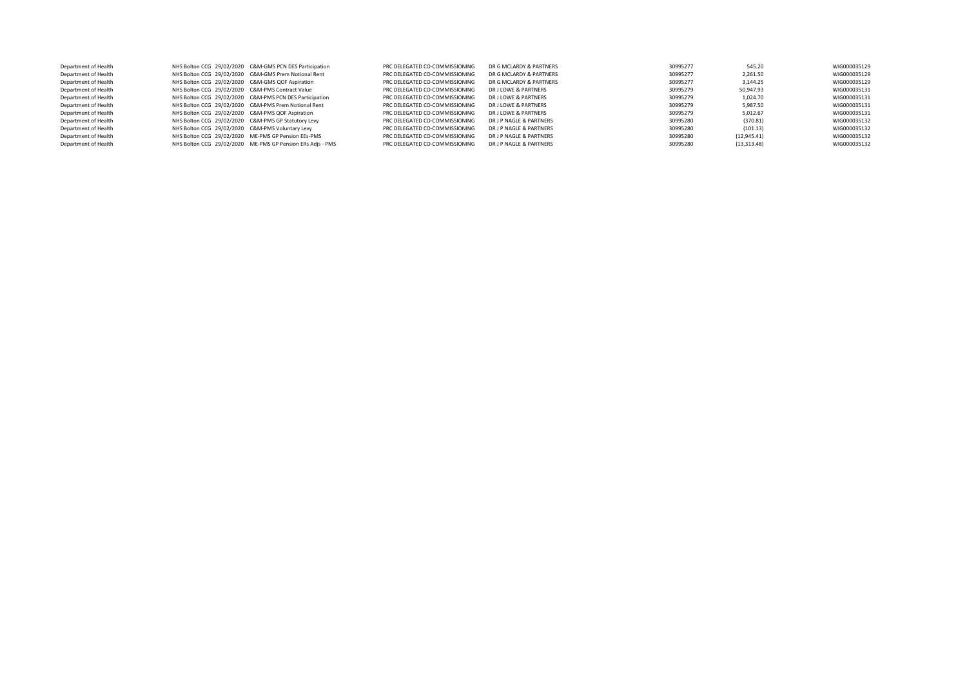| Department of Health |                                                     | NHS Bolton CCG 29/02/2020 C&M-GMS PCN DES Participation    | PRC DELEGATED CO-COMMISSIONING | DR G MCLARDY & PARTNERS | 30995277 | 545.20       | WIG000035129 |
|----------------------|-----------------------------------------------------|------------------------------------------------------------|--------------------------------|-------------------------|----------|--------------|--------------|
| Department of Health |                                                     | NHS Bolton CCG 29/02/2020 C&M-GMS Prem Notional Rent       | PRC DELEGATED CO-COMMISSIONING | DR G MCLARDY & PARTNERS | 30995277 | 2.261.50     | WIG000035129 |
| Department of Health | NHS Bolton CCG 29/02/2020 C&M-GMS QOF Aspiration    |                                                            | PRC DELEGATED CO-COMMISSIONING | DR G MCLARDY & PARTNERS | 30995277 | 3.144.25     | WIG000035129 |
| Department of Health | NHS Bolton CCG 29/02/2020 C&M-PMS Contract Value    |                                                            | PRC DELEGATED CO-COMMISSIONING | DR J LOWE & PARTNERS    | 30995279 | 50.947.93    | WIG000035131 |
| Department of Health |                                                     | NHS Bolton CCG 29/02/2020 C&M-PMS PCN DES Participation    | PRC DELEGATED CO-COMMISSIONING | DR J LOWE & PARTNERS    | 30995279 | 1,024.70     | WIG000035131 |
| Department of Health |                                                     | NHS Bolton CCG 29/02/2020 C&M-PMS Prem Notional Rent       | PRC DELEGATED CO-COMMISSIONING | DR J LOWE & PARTNERS    | 30995279 | 5.987.50     | WIG000035131 |
| Department of Health | NHS Bolton CCG 29/02/2020 C&M-PMS QOF Aspiration    |                                                            | PRC DELEGATED CO-COMMISSIONING | DR J LOWE & PARTNERS    | 30995279 | 5.012.67     | WIG000035131 |
| Department of Health | NHS Bolton CCG 29/02/2020 C&M-PMS GP Statutory Levy |                                                            | PRC DELEGATED CO-COMMISSIONING | DR J P NAGLE & PARTNERS | 30995280 | (370.81)     | WIG000035132 |
| Department of Health | NHS Bolton CCG 29/02/2020 C&M-PMS Voluntary Levy    |                                                            | PRC DELEGATED CO-COMMISSIONING | DR J P NAGLE & PARTNERS | 30995280 | (101.13)     | WIG000035132 |
| Department of Health |                                                     | NHS Bolton CCG 29/02/2020 ME-PMS GP Pension EEs-PMS        | PRC DELEGATED CO-COMMISSIONING | DR J P NAGLE & PARTNERS | 30995280 | (12, 945.41) | WIG000035132 |
| Department of Health |                                                     | NHS Bolton CCG 29/02/2020 ME-PMS GP Pension ERs Adjs - PMS | PRC DELEGATED CO-COMMISSIONING | DR J P NAGLE & PARTNERS | 30995280 | (13, 313.48) | WIG000035132 |
|                      |                                                     |                                                            |                                |                         |          |              |              |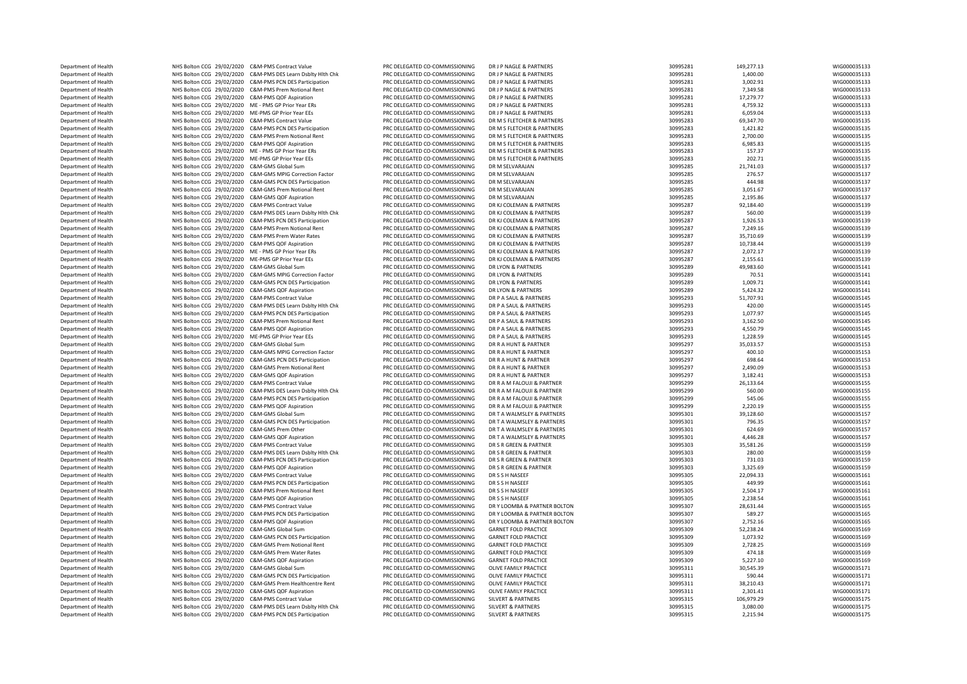| Department of Health | NHS Bolton CCG 29/02/2020 C&M-PMS Contract Value               | PRC DELEGATED CO-COMMISSIONING | DR J P NAGLE & PARTNERS       | 30995281 | 149,277.13 | WIG000035133 |
|----------------------|----------------------------------------------------------------|--------------------------------|-------------------------------|----------|------------|--------------|
| Department of Health | NHS Bolton CCG 29/02/2020<br>C&M-PMS DES Learn Dsblty Hlth Chk | PRC DELEGATED CO-COMMISSIONING | DR I P NAGLE & PARTNERS       | 30995281 | 1,400.00   | WIG000035133 |
|                      |                                                                |                                |                               |          |            |              |
| Department of Health | NHS Bolton CCG 29/02/2020<br>C&M-PMS PCN DES Participation     | PRC DELEGATED CO-COMMISSIONING | DR J P NAGLE & PARTNERS       | 30995281 | 3,002.91   | WIG000035133 |
| Department of Health | NHS Bolton CCG 29/02/2020<br>C&M-PMS Prem Notional Rent        | PRC DELEGATED CO-COMMISSIONING | DR J P NAGLE & PARTNERS       | 30995281 | 7,349.58   | WIG000035133 |
| Department of Health | NHS Bolton CCG 29/02/2020 C&M-PMS QOF Aspiration               | PRC DELEGATED CO-COMMISSIONING | DR J P NAGLE & PARTNERS       | 30995281 | 17,279.77  | WIG000035133 |
| Department of Health | NHS Bolton CCG 29/02/2020 ME - PMS GP Prior Year ERs           | PRC DELEGATED CO-COMMISSIONING | DR J P NAGLE & PARTNERS       | 30995281 | 4,759.32   | WIG000035133 |
| Department of Health | NHS Bolton CCG 29/02/2020 ME-PMS GP Prior Year EEs             | PRC DELEGATED CO-COMMISSIONING | DR J P NAGLE & PARTNERS       | 30995281 | 6,059.04   | WIG000035133 |
| Department of Health | NHS Bolton CCG 29/02/2020<br>C&M-PMS Contract Value            | PRC DELEGATED CO-COMMISSIONING | DR M S FLETCHER & PARTNERS    | 30995283 | 69.347.70  | WIG000035135 |
| Department of Health | NHS Bolton CCG 29/02/2020<br>C&M-PMS PCN DES Participation     | PRC DELEGATED CO-COMMISSIONING | DR M S FLETCHER & PARTNERS    | 30995283 | 1,421.82   | WIG000035135 |
|                      |                                                                |                                | DR M S FLETCHER & PARTNERS    |          |            |              |
| Department of Health | NHS Bolton CCG 29/02/2020<br>C&M-PMS Prem Notional Rent        | PRC DELEGATED CO-COMMISSIONING |                               | 30995283 | 2,700.00   | WIG000035135 |
| Department of Health | NHS Bolton CCG 29/02/2020<br>C&M-PMS QOF Aspiration            | PRC DELEGATED CO-COMMISSIONING | DR M S FLETCHER & PARTNERS    | 30995283 | 6,985.83   | WIG000035135 |
| Department of Health | NHS Bolton CCG 29/02/2020<br>ME - PMS GP Prior Year ERs        | PRC DELEGATED CO-COMMISSIONING | DR M S FLETCHER & PARTNERS    | 30995283 | 157.37     | WIG000035135 |
| Department of Health | NHS Bolton CCG 29/02/2020<br>ME-PMS GP Prior Year EEs          | PRC DELEGATED CO-COMMISSIONING | DR M S FLETCHER & PARTNERS    | 30995283 | 202.71     | WIG000035135 |
| Department of Health | NHS Bolton CCG 29/02/2020<br>C&M-GMS Global Sum                | PRC DELEGATED CO-COMMISSIONING | DR M SFI VARAIAN              | 30995285 | 21,741.03  | WIG000035137 |
| Department of Health | NHS Bolton CCG 29/02/2020<br>C&M-GMS MPIG Correction Factor    | PRC DELEGATED CO-COMMISSIONING | DR M SELVARAJAN               | 30995285 | 276.57     | WIG000035137 |
| Department of Health | NHS Bolton CCG 29/02/2020<br>C&M-GMS PCN DES Participation     | PRC DELEGATED CO-COMMISSIONING | DR M SELVARAJAN               | 30995285 | 444.98     | WIG000035137 |
|                      |                                                                |                                |                               |          |            |              |
| Department of Health | NHS Bolton CCG 29/02/2020<br>C&M-GMS Prem Notional Rent        | PRC DELEGATED CO-COMMISSIONING | DR M SFI VARAIAN              | 30995285 | 3,051.67   | WIG000035137 |
| Department of Health | NHS Bolton CCG 29/02/2020<br>C&M-GMS QOF Aspiration            | PRC DELEGATED CO-COMMISSIONING | DR M SELVARAJAN               | 30995285 | 2,195.86   | WIG000035137 |
| Department of Health | NHS Bolton CCG 29/02/2020 C&M-PMS Contract Value               | PRC DELEGATED CO-COMMISSIONING | DR KJ COLEMAN & PARTNERS      | 30995287 | 92,184.40  | WIG000035139 |
| Department of Health | NHS Bolton CCG 29/02/2020 C&M-PMS DES Learn Dsblty Hlth Chk    | PRC DELEGATED CO-COMMISSIONING | DR KJ COLEMAN & PARTNERS      | 30995287 | 560.00     | WIG000035139 |
| Department of Health | NHS Bolton CCG 29/02/2020 C&M-PMS PCN DES Participation        | PRC DELEGATED CO-COMMISSIONING | DR KJ COLEMAN & PARTNERS      | 30995287 | 1,926.53   | WIG000035139 |
| Department of Health | NHS Bolton CCG 29/02/2020 C&M-PMS Prem Notional Rent           | PRC DELEGATED CO-COMMISSIONING | DR KJ COLEMAN & PARTNERS      | 30995287 | 7,249.16   | WIG000035139 |
|                      |                                                                |                                |                               |          |            |              |
| Department of Health | NHS Bolton CCG 29/02/2020<br>C&M-PMS Prem Water Rates          | PRC DELEGATED CO-COMMISSIONING | DR KJ COLEMAN & PARTNERS      | 30995287 | 35,710.69  | WIG000035139 |
| Department of Health | NHS Bolton CCG 29/02/2020<br>C&M-PMS QOF Aspiration            | PRC DELEGATED CO-COMMISSIONING | DR KJ COLEMAN & PARTNERS      | 30995287 | 10,738.44  | WIG000035139 |
| Department of Health | NHS Bolton CCG 29/02/2020 ME - PMS GP Prior Year ERs           | PRC DELEGATED CO-COMMISSIONING | DR KJ COLEMAN & PARTNERS      | 30995287 | 2,072.17   | WIG000035139 |
| Department of Health | NHS Bolton CCG 29/02/2020 ME-PMS GP Prior Year EEs             | PRC DELEGATED CO-COMMISSIONING | DR KJ COLEMAN & PARTNERS      | 30995287 | 2,155.61   | WIG000035139 |
| Department of Health | NHS Bolton CCG 29/02/2020<br>C&M-GMS Global Sum                | PRC DELEGATED CO-COMMISSIONING | DR LYON & PARTNERS            | 30995289 | 49,983.60  | WIG000035141 |
| Department of Health | NHS Bolton CCG 29/02/2020 C&M-GMS MPIG Correction Factor       | PRC DELEGATED CO-COMMISSIONING | DR LYON & PARTNERS            | 30995289 | 70.51      | WIG000035141 |
| Department of Health | NHS Bolton CCG 29/02/2020<br>C&M-GMS PCN DES Participation     | PRC DELEGATED CO-COMMISSIONING | DR LYON & PARTNERS            | 30995289 | 1,009.71   | WIG000035141 |
|                      | NHS Bolton CCG 29/02/2020<br>C&M-GMS OOF Aspiration            | PRC DELEGATED CO-COMMISSIONING | DR I YON & PARTNERS           | 30995289 | 5.424.32   | WIG000035141 |
| Department of Health |                                                                |                                |                               |          |            |              |
| Department of Health | NHS Bolton CCG 29/02/2020<br>C&M-PMS Contract Value            | PRC DELEGATED CO-COMMISSIONING | DR P A SAUL & PARTNERS        | 30995293 | 51,707.91  | WIG000035145 |
| Department of Health | NHS Bolton CCG 29/02/2020<br>C&M-PMS DES Learn Dsblty Hlth Chk | PRC DELEGATED CO-COMMISSIONING | DR P A SAUL & PARTNERS        | 30995293 | 420.00     | WIG000035145 |
| Department of Health | NHS Bolton CCG 29/02/2020<br>C&M-PMS PCN DES Participation     | PRC DELEGATED CO-COMMISSIONING | DR P A SAUL & PARTNERS        | 30995293 | 1,077.97   | WIG000035145 |
| Department of Health | NHS Bolton CCG 29/02/2020<br>C&M-PMS Prem Notional Rent        | PRC DELEGATED CO-COMMISSIONING | DR P A SAUL & PARTNERS        | 30995293 | 3,162.50   | WIG000035145 |
| Department of Health | NHS Bolton CCG 29/02/2020<br>C&M-PMS QOF Aspiration            | PRC DELEGATED CO-COMMISSIONING | DR P A SAUL & PARTNERS        | 30995293 | 4,550.79   | WIG000035145 |
| Department of Health | NHS Bolton CCG 29/02/2020<br>ME-PMS GP Prior Year EEs          | PRC DELEGATED CO-COMMISSIONING | DR P A SAUL & PARTNERS        | 30995293 | 1,228.59   | WIG000035145 |
|                      |                                                                |                                |                               |          |            |              |
| Department of Health | NHS Bolton CCG 29/02/2020<br>C&M-GMS Global Sum                | PRC DELEGATED CO-COMMISSIONING | DR R A HUNT & PARTNER         | 30995297 | 35,033.57  | WIG000035153 |
| Department of Health | NHS Bolton CCG 29/02/2020<br>C&M-GMS MPIG Correction Factor    | PRC DELEGATED CO-COMMISSIONING | DR R A HUNT & PARTNER         | 30995297 | 400.10     | WIG000035153 |
| Department of Health | NHS Bolton CCG 29/02/2020<br>C&M-GMS PCN DES Participation     | PRC DELEGATED CO-COMMISSIONING | DR R A HUNT & PARTNER         | 30995297 | 698.64     | WIG000035153 |
| Department of Health | NHS Bolton CCG 29/02/2020<br>C&M-GMS Prem Notional Rent        | PRC DELEGATED CO-COMMISSIONING | DR R A HUNT & PARTNER         | 30995297 | 2,490.09   | WIG000035153 |
| Department of Health | NHS Bolton CCG 29/02/2020<br>C&M-GMS QOF Aspiration            | PRC DELEGATED CO-COMMISSIONING | DR R A HUNT & PARTNER         | 30995297 | 3,182.41   | WIG000035153 |
| Department of Health | NHS Bolton CCG 29/02/2020<br><b>C&amp;M-PMS Contract Value</b> | PRC DELEGATED CO-COMMISSIONING | DR R A M FALOUJI & PARTNER    | 30995299 | 26,133.64  | WIG000035155 |
| Department of Health | NHS Bolton CCG 29/02/2020<br>C&M-PMS DES Learn Dsblty Hlth Chk | PRC DELEGATED CO-COMMISSIONING | DR R A M FALOUJI & PARTNER    | 30995299 | 560.00     | WIG000035155 |
|                      |                                                                |                                |                               |          |            |              |
| Department of Health | NHS Bolton CCG 29/02/2020<br>C&M-PMS PCN DES Participation     | PRC DELEGATED CO-COMMISSIONING | DR R A M FALOUJI & PARTNER    | 30995299 | 545.06     | WIG000035155 |
| Department of Health | NHS Bolton CCG 29/02/2020<br>C&M-PMS QOF Aspiration            | PRC DELEGATED CO-COMMISSIONING | DR R A M FALOUJI & PARTNER    | 30995299 | 2,220.19   | WIG000035155 |
| Department of Health | NHS Bolton CCG 29/02/2020<br>C&M-GMS Global Sum                | PRC DELEGATED CO-COMMISSIONING | DR T A WALMSLEY & PARTNERS    | 30995301 | 39,128.60  | WIG000035157 |
| Department of Health | NHS Bolton CCG 29/02/2020 C&M-GMS PCN DES Participation        | PRC DELEGATED CO-COMMISSIONING | DR T A WALMSLEY & PARTNERS    | 30995301 | 796.35     | WIG000035157 |
| Department of Health | NHS Bolton CCG 29/02/2020 C&M-GMS Prem Other                   | PRC DELEGATED CO-COMMISSIONING | DR T A WALMSLEY & PARTNERS    | 30995301 | 624.69     | WIG000035157 |
| Department of Health | NHS Bolton CCG 29/02/2020 C&M-GMS QOF Aspiration               | PRC DELEGATED CO-COMMISSIONING | DR T A WALMSLEY & PARTNERS    | 30995301 | 4,446.28   | WIG000035157 |
|                      |                                                                |                                |                               |          |            |              |
| Department of Health | NHS Bolton CCG 29/02/2020 C&M-PMS Contract Value               | PRC DELEGATED CO-COMMISSIONING | DR S R GREEN & PARTNER        | 30995303 | 35,581.26  | WIG000035159 |
| Department of Health | NHS Bolton CCG 29/02/2020<br>C&M-PMS DES Learn Dsblty Hlth Chk | PRC DELEGATED CO-COMMISSIONING | DR S R GREEN & PARTNER        | 30995303 | 280.00     | WIG000035159 |
| Department of Health | NHS Bolton CCG 29/02/2020<br>C&M-PMS PCN DES Participation     | PRC DELEGATED CO-COMMISSIONING | DR S R GREEN & PARTNER        | 30995303 | 731.03     | WIG000035159 |
| Department of Health | NHS Bolton CCG 29/02/2020<br>C&M-PMS QOF Aspiration            | PRC DELEGATED CO-COMMISSIONING | DR S R GREEN & PARTNER        | 30995303 | 3,325.69   | WIG000035159 |
| Department of Health | NHS Bolton CCG 29/02/2020<br><b>C&amp;M-PMS Contract Value</b> | PRC DELEGATED CO-COMMISSIONING | DR S S H NASEEF               | 30995305 | 22,094.33  | WIG000035161 |
| Department of Health | NHS Bolton CCG 29/02/2020<br>C&M-PMS PCN DES Participation     | PRC DELEGATED CO-COMMISSIONING | DR S S H NASEEF               | 30995305 | 449.99     | WIG000035161 |
| Department of Health | NHS Bolton CCG 29/02/2020<br>C&M-PMS Prem Notional Rent        | PRC DELEGATED CO-COMMISSIONING | DR S S H NASEEF               | 30995305 | 2,504.17   | WIG000035161 |
|                      |                                                                |                                |                               |          |            |              |
| Department of Health | NHS Bolton CCG 29/02/2020<br>C&M-PMS QOF Aspiration            | PRC DELEGATED CO-COMMISSIONING | DR S S H NASEEF               | 30995305 | 2,238.54   | WIG000035161 |
| Department of Health | NHS Bolton CCG 29/02/2020<br><b>C&amp;M-PMS Contract Value</b> | PRC DELEGATED CO-COMMISSIONING | DR Y LOOMBA & PARTNER BOLTON  | 30995307 | 28,631.44  | WIG000035165 |
| Department of Health | NHS Bolton CCG 29/02/2020<br>C&M-PMS PCN DES Participation     | PRC DELEGATED CO-COMMISSIONING | DR Y LOOMBA & PARTNER BOLTON  | 30995307 | 589.27     | WIG000035165 |
| Department of Health | NHS Bolton CCG 29/02/2020<br>C&M-PMS QOF Aspiration            | PRC DELEGATED CO-COMMISSIONING | DR Y LOOMBA & PARTNER BOLTON  | 30995307 | 2,752.16   | WIG000035165 |
| Department of Health | NHS Bolton CCG 29/02/2020<br>C&M-GMS Global Sum                | PRC DELEGATED CO-COMMISSIONING | <b>GARNET FOLD PRACTICE</b>   | 30995309 | 52,238.24  | WIG000035169 |
| Department of Health | NHS Bolton CCG 29/02/2020<br>C&M-GMS PCN DES Participation     | PRC DELEGATED CO-COMMISSIONING | <b>GARNET FOLD PRACTICE</b>   | 30995309 | 1,073.92   | WIG000035169 |
|                      |                                                                |                                |                               |          |            |              |
| Department of Health | NHS Bolton CCG 29/02/2020<br>C&M-GMS Prem Notional Rent        | PRC DELEGATED CO-COMMISSIONING | <b>GARNET FOLD PRACTICE</b>   | 30995309 | 2,728.25   | WIG000035169 |
| Department of Health | NHS Bolton CCG 29/02/2020<br>C&M-GMS Prem Water Rates          | PRC DELEGATED CO-COMMISSIONING | <b>GARNET FOLD PRACTICE</b>   | 30995309 | 474.18     | WIG000035169 |
| Department of Health | NHS Bolton CCG 29/02/2020<br>C&M-GMS QOF Aspiration            | PRC DELEGATED CO-COMMISSIONING | <b>GARNET FOLD PRACTICE</b>   | 30995309 | 5,227.10   | WIG000035169 |
| Department of Health | NHS Bolton CCG 29/02/2020<br>C&M-GMS Global Sum                | PRC DELEGATED CO-COMMISSIONING | OLIVE FAMILY PRACTICE         | 30995311 | 30.545.39  | WIG000035171 |
| Department of Health | NHS Bolton CCG 29/02/2020<br>C&M-GMS PCN DES Participation     | PRC DELEGATED CO-COMMISSIONING | OLIVE FAMILY PRACTICE         | 30995311 | 590.44     | WIG000035171 |
| Department of Health | NHS Bolton CCG 29/02/2020<br>C&M-GMS Prem Healthcentre Rent    | PRC DELEGATED CO-COMMISSIONING | OLIVE FAMILY PRACTICE         | 30995311 | 38.210.43  | WIG000035171 |
|                      |                                                                |                                |                               |          |            |              |
| Department of Health | NHS Bolton CCG 29/02/2020<br>C&M-GMS QOF Aspiration            | PRC DELEGATED CO-COMMISSIONING | OLIVE FAMILY PRACTICE         | 30995311 | 2,301.41   | WIG000035171 |
| Department of Health | NHS Bolton CCG 29/02/2020<br>C&M-PMS Contract Value            | PRC DELEGATED CO-COMMISSIONING | <b>SILVERT &amp; PARTNERS</b> | 30995315 | 106,979.29 | WIG000035175 |
| Department of Health | NHS Bolton CCG 29/02/2020 C&M-PMS DES Learn Dsblty Hith Chk    | PRC DELEGATED CO-COMMISSIONING | <b>SILVERT &amp; PARTNERS</b> | 30995315 | 3,080.00   | WIG000035175 |
| Department of Health | NHS Bolton CCG 29/02/2020 C&M-PMS PCN DES Participation        | PRC DELEGATED CO-COMMISSIONING | <b>SILVERT &amp; PARTNERS</b> | 30995315 | 2,215.94   | WIG000035175 |
|                      |                                                                |                                |                               |          |            |              |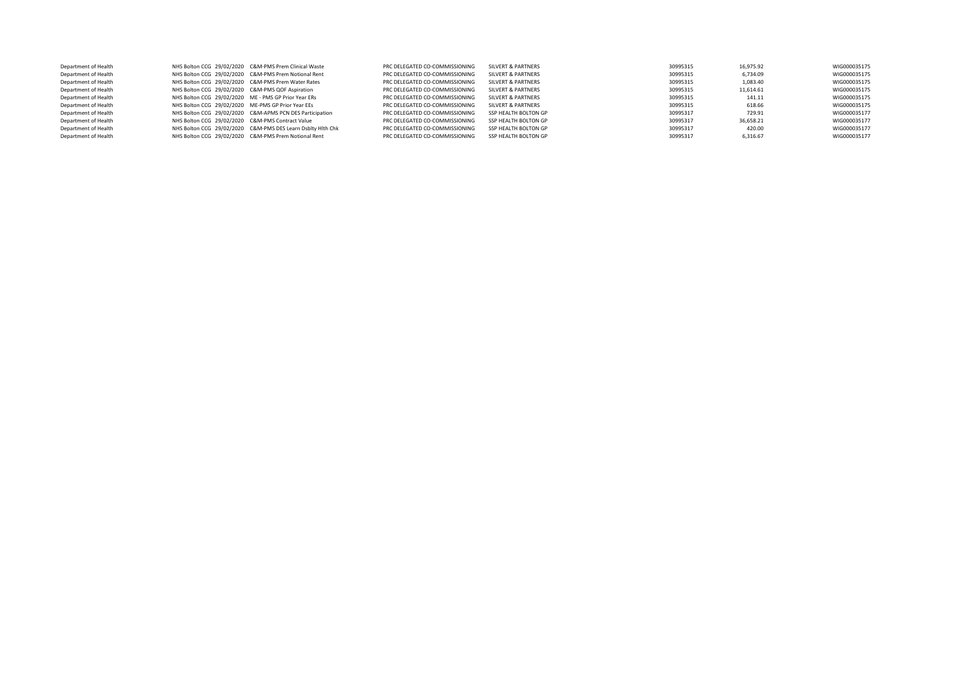| Department of Health |                                                      | NHS Bolton CCG 29/02/2020 C&M-PMS Prem Clinical Waste       | PRC DELEGATED CO-COMMISSIONING | SILVERT & PARTNERS   | 30995315 | 16,975.92 | WIG000035175 |
|----------------------|------------------------------------------------------|-------------------------------------------------------------|--------------------------------|----------------------|----------|-----------|--------------|
| Department of Health |                                                      | NHS Bolton CCG 29/02/2020 C&M-PMS Prem Notional Rent        | PRC DELEGATED CO-COMMISSIONING | SILVERT & PARTNERS   | 30995315 | 6.734.09  | WIG000035175 |
| Department of Health | NHS Bolton CCG 29/02/2020 C&M-PMS Prem Water Rates   |                                                             | PRC DELEGATED CO-COMMISSIONING | SILVERT & PARTNERS   | 30995315 | 1,083.40  | WIG000035175 |
| Department of Health | NHS Bolton CCG 29/02/2020 C&M-PMS QOF Aspiration     |                                                             | PRC DELEGATED CO-COMMISSIONING | SILVERT & PARTNERS   | 30995315 | 11.614.61 | WIG000035175 |
| Department of Health | NHS Bolton CCG 29/02/2020 ME - PMS GP Prior Year ERs |                                                             | PRC DELEGATED CO-COMMISSIONING | SILVERT & PARTNERS   | 30995315 | 141.11    | WIG000035175 |
| Department of Health | NHS Bolton CCG 29/02/2020 ME-PMS GP Prior Year EEs   |                                                             | PRC DELEGATED CO-COMMISSIONING | SILVERT & PARTNERS   | 30995315 | 618.66    | WIG000035175 |
| Department of Health |                                                      | NHS Bolton CCG 29/02/2020 C&M-APMS PCN DES Participation    | PRC DELEGATED CO-COMMISSIONING | SSP HEALTH BOLTON GP | 30995317 | 729.91    | WIG000035177 |
| Department of Health | NHS Bolton CCG 29/02/2020 C&M-PMS Contract Value     |                                                             | PRC DELEGATED CO-COMMISSIONING | SSP HEALTH BOLTON GP | 30995317 | 36,658.21 | WIG000035177 |
| Department of Health |                                                      | NHS Bolton CCG 29/02/2020 C&M-PMS DES Learn Dsbltv Hlth Chk | PRC DELEGATED CO-COMMISSIONING | SSP HEALTH BOLTON GP | 30995317 | 420.00    | WIG000035177 |
| Department of Health |                                                      | NHS Bolton CCG 29/02/2020 C&M-PMS Prem Notional Rent        | PRC DELEGATED CO-COMMISSIONING | SSP HEALTH BOLTON GP | 30995317 | 6,316.67  | WIG000035177 |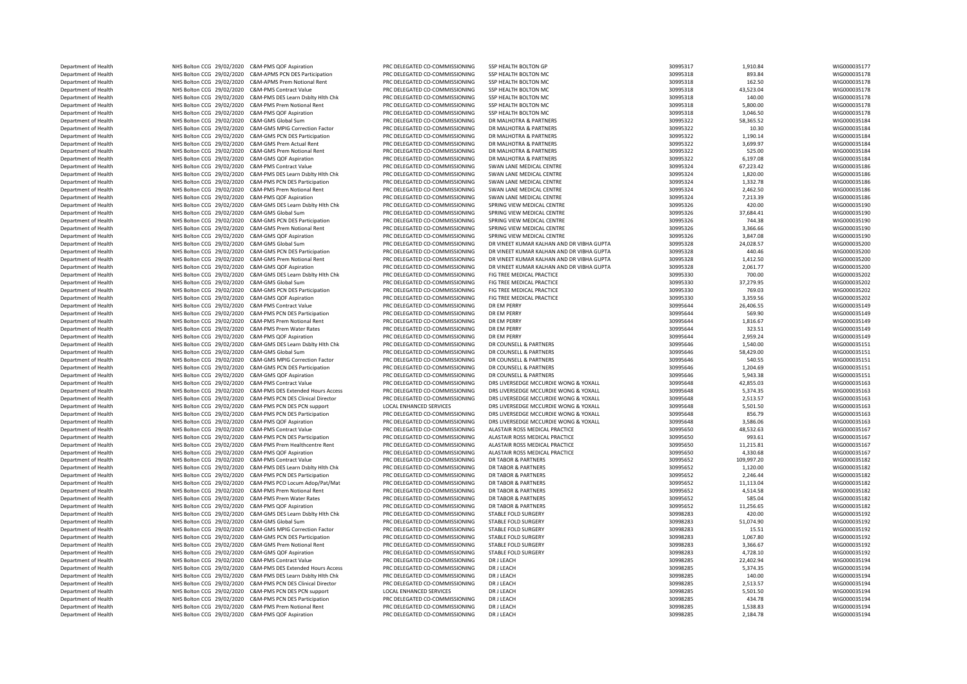| Department of Health |                                                    | NHS Bolton CCG 29/02/2020 C&M-APMS PCN DES Participation    | PRC DELEGATED CO-COMMISSIONING | SSP HEALTH BOLTON MC                      | 30995318 | 893.84     | WIG000035178 |
|----------------------|----------------------------------------------------|-------------------------------------------------------------|--------------------------------|-------------------------------------------|----------|------------|--------------|
| Department of Health |                                                    | NHS Bolton CCG 29/02/2020 C&M-APMS Prem Notional Rent       | PRC DELEGATED CO-COMMISSIONING | SSP HEALTH BOLTON MC                      | 30995318 | 162.50     | WIG000035178 |
| Department of Health | NHS Bolton CCG 29/02/2020 C&M-PMS Contract Value   |                                                             | PRC DELEGATED CO-COMMISSIONING | SSP HEALTH BOLTON MC                      | 30995318 | 43.523.04  | WIG000035178 |
|                      |                                                    |                                                             |                                |                                           |          |            |              |
| Department of Health |                                                    | NHS Bolton CCG 29/02/2020 C&M-PMS DES Learn Dsblty Hith Chk | PRC DELEGATED CO-COMMISSIONING | SSP HEALTH BOLTON MC                      | 30995318 | 140.00     | WIG000035178 |
| Department of Health |                                                    | NHS Bolton CCG 29/02/2020 C&M-PMS Prem Notional Rent        | PRC DELEGATED CO-COMMISSIONING | SSP HEALTH BOLTON MC                      | 30995318 | 5,800.00   | WIG000035178 |
| Department of Health | NHS Bolton CCG 29/02/2020 C&M-PMS QOF Aspiration   |                                                             | PRC DELEGATED CO-COMMISSIONING | SSP HEALTH BOLTON MC                      | 30995318 | 3,046.50   | WIG000035178 |
| Department of Health | NHS Bolton CCG 29/02/2020 C&M-GMS Global Sum       |                                                             | PRC DELEGATED CO-COMMISSIONING | DR MALHOTRA & PARTNERS                    | 30995322 | 58,365.52  | WIG000035184 |
| Department of Health |                                                    | NHS Bolton CCG 29/02/2020 C&M-GMS MPIG Correction Factor    | PRC DELEGATED CO-COMMISSIONING | DR MALHOTRA & PARTNERS                    | 30995322 | 10.30      | WIG000035184 |
| Department of Health |                                                    | NHS Bolton CCG 29/02/2020 C&M-GMS PCN DES Participation     | PRC DELEGATED CO-COMMISSIONING | DR MALHOTRA & PARTNERS                    | 30995322 | 1,190.14   | WIG000035184 |
| Department of Health | NHS Bolton CCG 29/02/2020 C&M-GMS Prem Actual Rent |                                                             | PRC DELEGATED CO-COMMISSIONING | DR MALHOTRA & PARTNERS                    | 30995322 | 3,699.97   | WIG000035184 |
| Department of Health |                                                    | NHS Bolton CCG 29/02/2020 C&M-GMS Prem Notional Rent        | PRC DELEGATED CO-COMMISSIONING | DR MALHOTRA & PARTNERS                    | 30995322 | 525.00     | WIG000035184 |
| Department of Health | NHS Bolton CCG 29/02/2020 C&M-GMS QOF Aspiration   |                                                             | PRC DELEGATED CO-COMMISSIONING | DR MALHOTRA & PARTNERS                    | 30995322 | 6,197.08   | WIG000035184 |
| Department of Health | NHS Bolton CCG 29/02/2020 C&M-PMS Contract Value   |                                                             | PRC DELEGATED CO-COMMISSIONING | SWAN LANE MEDICAL CENTRE                  | 30995324 | 67,223.42  | WIG000035186 |
| Department of Health |                                                    | NHS Bolton CCG 29/02/2020 C&M-PMS DES Learn Dsblty Hith Chk | PRC DELEGATED CO-COMMISSIONING | SWAN LANE MEDICAL CENTRE                  | 30995324 | 1,820.00   | WIG000035186 |
| Department of Health |                                                    | NHS Bolton CCG 29/02/2020 C&M-PMS PCN DES Participation     | PRC DELEGATED CO-COMMISSIONING | SWAN LANE MEDICAL CENTRE                  | 30995324 | 1,332.78   | WIG000035186 |
|                      |                                                    | C&M-PMS Prem Notional Rent                                  |                                | SWAN LANE MEDICAL CENTRE                  |          |            | WIG000035186 |
| Department of Health | NHS Bolton CCG 29/02/2020                          |                                                             | PRC DELEGATED CO-COMMISSIONING |                                           | 30995324 | 2,462.50   |              |
| Department of Health | NHS Bolton CCG 29/02/2020                          | C&M-PMS QOF Aspiration                                      | PRC DELEGATED CO-COMMISSIONING | SWAN LANE MEDICAL CENTRE                  | 30995324 | 7,213.39   | WIG000035186 |
| Department of Health |                                                    | NHS Bolton CCG 29/02/2020 C&M-GMS DES Learn Dsblty Hlth Chk | PRC DELEGATED CO-COMMISSIONING | SPRING VIEW MEDICAL CENTRE                | 30995326 | 420.00     | WIG000035190 |
| Department of Health | NHS Bolton CCG 29/02/2020 C&M-GMS Global Sum       |                                                             | PRC DELEGATED CO-COMMISSIONING | SPRING VIEW MEDICAL CENTRE                | 30995326 | 37,684.41  | WIG000035190 |
| Department of Health |                                                    | NHS Bolton CCG 29/02/2020 C&M-GMS PCN DES Participation     | PRC DELEGATED CO-COMMISSIONING | SPRING VIEW MEDICAL CENTRE                | 30995326 | 744.38     | WIG000035190 |
| Department of Health |                                                    | NHS Bolton CCG 29/02/2020 C&M-GMS Prem Notional Rent        | PRC DELEGATED CO-COMMISSIONING | SPRING VIEW MEDICAL CENTRE                | 30995326 | 3,366.66   | WIG000035190 |
| Department of Health | NHS Bolton CCG 29/02/2020 C&M-GMS QOF Aspiration   |                                                             | PRC DELEGATED CO-COMMISSIONING | SPRING VIEW MEDICAL CENTRE                | 30995326 | 3,847.08   | WIG000035190 |
| Department of Health | NHS Bolton CCG 29/02/2020 C&M-GMS Global Sum       |                                                             | PRC DELEGATED CO-COMMISSIONING | DR VINEET KUMAR KALHAN AND DR VIBHA GUPTA | 30995328 | 24,028.57  | WIG000035200 |
| Department of Health |                                                    | NHS Bolton CCG 29/02/2020 C&M-GMS PCN DES Participation     | PRC DELEGATED CO-COMMISSIONING | DR VINEET KUMAR KALHAN AND DR VIBHA GUPTA | 30995328 | 440.46     | WIG000035200 |
| Department of Health |                                                    | NHS Bolton CCG 29/02/2020 C&M-GMS Prem Notional Rent        | PRC DELEGATED CO-COMMISSIONING | DR VINEET KUMAR KALHAN AND DR VIBHA GUPTA | 30995328 | 1,412.50   | WIG000035200 |
| Department of Health | NHS Bolton CCG 29/02/2020 C&M-GMS QOF Aspiration   |                                                             | PRC DELEGATED CO-COMMISSIONING | DR VINEET KUMAR KALHAN AND DR VIBHA GUPTA | 30995328 | 2,061.77   | WIG000035200 |
| Department of Health |                                                    | NHS Bolton CCG 29/02/2020 C&M-GMS DES Learn Dsblty Hlth Chk | PRC DELEGATED CO-COMMISSIONING | FIG TREE MEDICAL PRACTICE                 | 30995330 | 700.00     | WIG000035202 |
| Department of Health | NHS Bolton CCG 29/02/2020 C&M-GMS Global Sum       |                                                             | PRC DELEGATED CO-COMMISSIONING | FIG TREE MEDICAL PRACTICE                 | 30995330 | 37,279.95  | WIG000035202 |
| Department of Health |                                                    | NHS Bolton CCG 29/02/2020 C&M-GMS PCN DES Participation     | PRC DELEGATED CO-COMMISSIONING | FIG TREE MEDICAL PRACTICE                 | 30995330 | 769.03     | WIG000035202 |
|                      |                                                    |                                                             |                                |                                           |          |            |              |
| Department of Health | NHS Bolton CCG 29/02/2020 C&M-GMS QOF Aspiration   |                                                             | PRC DELEGATED CO-COMMISSIONING | FIG TREE MEDICAL PRACTICE                 | 30995330 | 3,359.56   | WIG000035202 |
| Department of Health | NHS Bolton CCG 29/02/2020                          | <b>C&amp;M-PMS Contract Value</b>                           | PRC DELEGATED CO-COMMISSIONING | DR FM PFRRY                               | 30995644 | 26,406.55  | WIG000035149 |
| Department of Health | NHS Bolton CCG 29/02/2020                          | C&M-PMS PCN DES Participation                               | PRC DELEGATED CO-COMMISSIONING | <b>DR EM PERRY</b>                        | 30995644 | 569.90     | WIG000035149 |
| Department of Health |                                                    | NHS Bolton CCG 29/02/2020 C&M-PMS Prem Notional Rent        | PRC DELEGATED CO-COMMISSIONING | <b>DR EM PERRY</b>                        | 30995644 | 1,816.67   | WIG000035149 |
| Department of Health | NHS Bolton CCG 29/02/2020 C&M-PMS Prem Water Rates |                                                             | PRC DELEGATED CO-COMMISSIONING | DR FM PFRRY                               | 30995644 | 323.51     | WIG000035149 |
| Department of Health | NHS Bolton CCG 29/02/2020 C&M-PMS QOF Aspiration   |                                                             | PRC DELEGATED CO-COMMISSIONING | <b>DR EM PERRY</b>                        | 30995644 | 2,959.24   | WIG000035149 |
| Department of Health |                                                    | NHS Bolton CCG 29/02/2020 C&M-GMS DES Learn Dsblty Hlth Chk | PRC DELEGATED CO-COMMISSIONING | DR COUNSELL & PARTNERS                    | 30995646 | 1,540.00   | WIG000035151 |
| Department of Health | NHS Bolton CCG 29/02/2020 C&M-GMS Global Sum       |                                                             | PRC DELEGATED CO-COMMISSIONING | DR COUNSELL & PARTNERS                    | 30995646 | 58,429.00  | WIG000035151 |
| Department of Health |                                                    | NHS Bolton CCG 29/02/2020 C&M-GMS MPIG Correction Factor    | PRC DELEGATED CO-COMMISSIONING | DR COUNSELL & PARTNERS                    | 30995646 | 540.55     | WIG000035151 |
| Department of Health |                                                    | NHS Bolton CCG 29/02/2020 C&M-GMS PCN DES Participation     | PRC DELEGATED CO-COMMISSIONING | DR COUNSELL & PARTNERS                    | 30995646 | 1,204.69   | WIG000035151 |
| Department of Health | NHS Bolton CCG 29/02/2020 C&M-GMS QOF Aspiration   |                                                             | PRC DELEGATED CO-COMMISSIONING | DR COUNSELL & PARTNERS                    | 30995646 | 5,943.38   | WIG000035151 |
| Department of Health | NHS Bolton CCG 29/02/2020 C&M-PMS Contract Value   |                                                             | PRC DELEGATED CO-COMMISSIONING | DRS LIVERSEDGE MCCURDIE WONG & YOXALL     | 30995648 | 42,855.03  | WIG000035163 |
| Department of Health |                                                    | NHS Bolton CCG 29/02/2020 C&M-PMS DES Extended Hours Access | PRC DELEGATED CO-COMMISSIONING | DRS LIVERSEDGE MCCURDIE WONG & YOXALL     | 30995648 | 5,374.35   | WIG000035163 |
|                      |                                                    | NHS Bolton CCG 29/02/2020 C&M-PMS PCN DES Clinical Director | PRC DELEGATED CO-COMMISSIONING | DRS LIVERSEDGE MCCURDIE WONG & YOXALL     | 30995648 | 2,513.57   | WIG000035163 |
| Department of Health |                                                    |                                                             | LOCAL ENHANCED SERVICES        | DRS LIVERSEDGE MCCURDIE WONG & YOXALL     |          |            | WIG000035163 |
| Department of Health |                                                    | NHS Bolton CCG 29/02/2020 C&M-PMS PCN DES PCN support       |                                |                                           | 30995648 | 5,501.50   |              |
| Department of Health |                                                    | NHS Bolton CCG 29/02/2020 C&M-PMS PCN DES Participation     | PRC DELEGATED CO-COMMISSIONING | DRS LIVERSEDGE MCCURDIE WONG & YOXALL     | 30995648 | 856.79     | WIG000035163 |
| Department of Health | NHS Bolton CCG 29/02/2020 C&M-PMS QOF Aspiration   |                                                             | PRC DELEGATED CO-COMMISSIONING | DRS LIVERSEDGE MCCURDIE WONG & YOXALL     | 30995648 | 3,586.06   | WIG000035163 |
| Department of Health | NHS Bolton CCG 29/02/2020                          | <b>C&amp;M-PMS Contract Value</b>                           | PRC DELEGATED CO-COMMISSIONING | ALASTAIR ROSS MEDICAL PRACTICE            | 30995650 | 48,532.63  | WIG000035167 |
| Department of Health |                                                    | NHS Bolton CCG 29/02/2020 C&M-PMS PCN DES Participation     | PRC DELEGATED CO-COMMISSIONING | ALASTAIR ROSS MEDICAL PRACTICE            | 30995650 | 993.61     | WIG000035167 |
| Department of Health |                                                    | NHS Bolton CCG 29/02/2020 C&M-PMS Prem Healthcentre Rent    | PRC DELEGATED CO-COMMISSIONING | ALASTAIR ROSS MEDICAL PRACTICE            | 30995650 | 11,215.81  | WIG000035167 |
| Department of Health | NHS Bolton CCG 29/02/2020 C&M-PMS QOF Aspiration   |                                                             | PRC DELEGATED CO-COMMISSIONING | ALASTAIR ROSS MEDICAL PRACTICE            | 30995650 | 4,330.68   | WIG000035167 |
| Department of Health | NHS Bolton CCG 29/02/2020 C&M-PMS Contract Value   |                                                             | PRC DELEGATED CO-COMMISSIONING | DR TABOR & PARTNERS                       | 30995652 | 109,997.20 | WIG000035182 |
| Department of Health |                                                    | NHS Bolton CCG 29/02/2020 C&M-PMS DES Learn Dsblty Hlth Chk | PRC DELEGATED CO-COMMISSIONING | DR TABOR & PARTNERS                       | 30995652 | 1,120.00   | WIG000035182 |
| Department of Health |                                                    | NHS Bolton CCG 29/02/2020 C&M-PMS PCN DES Participation     | PRC DELEGATED CO-COMMISSIONING | DR TABOR & PARTNERS                       | 30995652 | 2,246.44   | WIG000035182 |
| Department of Health |                                                    | NHS Bolton CCG 29/02/2020 C&M-PMS PCO Locum Adop/Pat/Mat    | PRC DELEGATED CO-COMMISSIONING | <b>DR TABOR &amp; PARTNERS</b>            | 30995652 | 11,113.04  | WIG000035182 |
| Department of Health |                                                    | NHS Bolton CCG 29/02/2020 C&M-PMS Prem Notional Rent        | PRC DELEGATED CO-COMMISSIONING | <b>DR TABOR &amp; PARTNERS</b>            | 30995652 | 4,514.58   | WIG000035182 |
| Department of Health | NHS Bolton CCG 29/02/2020 C&M-PMS Prem Water Rates |                                                             | PRC DELEGATED CO-COMMISSIONING | DR TABOR & PARTNERS                       | 30995652 | 585.04     | WIG000035182 |
| Department of Health | NHS Bolton CCG 29/02/2020 C&M-PMS QOF Aspiration   |                                                             | PRC DELEGATED CO-COMMISSIONING | DR TABOR & PARTNERS                       | 30995652 | 11,256.65  | WIG000035182 |
|                      |                                                    |                                                             |                                | STABLE FOLD SURGERY                       |          |            |              |
| Department of Health |                                                    | NHS Bolton CCG 29/02/2020 C&M-GMS DES Learn Dsblty Hlth Chk | PRC DELEGATED CO-COMMISSIONING |                                           | 30998283 | 420.00     | WIG000035192 |
| Department of Health | NHS Bolton CCG 29/02/2020 C&M-GMS Global Sum       |                                                             | PRC DELEGATED CO-COMMISSIONING | STABLE FOLD SURGERY                       | 30998283 | 51,074.90  | WIG000035192 |
| Department of Health |                                                    | NHS Bolton CCG 29/02/2020 C&M-GMS MPIG Correction Factor    | PRC DELEGATED CO-COMMISSIONING | STABLE FOLD SURGERY                       | 30998283 | 15.51      | WIG000035192 |
| Department of Health | NHS Bolton CCG 29/02/2020                          | C&M-GMS PCN DES Participation                               | PRC DELEGATED CO-COMMISSIONING | STABLE FOLD SURGERY                       | 30998283 | 1,067.80   | WIG000035192 |
| Department of Health | NHS Bolton CCG 29/02/2020                          | C&M-GMS Prem Notional Rent                                  | PRC DELEGATED CO-COMMISSIONING | STABLE FOLD SURGERY                       | 30998283 | 3,366.67   | WIG000035192 |
| Department of Health | NHS Bolton CCG 29/02/2020                          | C&M-GMS QOF Aspiration                                      | PRC DELEGATED CO-COMMISSIONING | STABLE FOLD SURGERY                       | 30998283 | 4,728.10   | WIG000035192 |
| Department of Health | NHS Bolton CCG 29/02/2020 C&M-PMS Contract Value   |                                                             | PRC DELEGATED CO-COMMISSIONING | DR J LEACH                                | 30998285 | 22,402.94  | WIG000035194 |
| Department of Health |                                                    | NHS Bolton CCG 29/02/2020 C&M-PMS DES Extended Hours Access | PRC DELEGATED CO-COMMISSIONING | DR J LEACH                                | 30998285 | 5,374.35   | WIG000035194 |
| Department of Health |                                                    | NHS Bolton CCG 29/02/2020 C&M-PMS DES Learn Dsblty Hlth Chk | PRC DELEGATED CO-COMMISSIONING | DR J LEACH                                | 30998285 | 140.00     | WIG000035194 |
| Department of Health |                                                    | NHS Bolton CCG 29/02/2020 C&M-PMS PCN DES Clinical Director | PRC DELEGATED CO-COMMISSIONING | DR J LEACH                                | 30998285 | 2,513.57   | WIG000035194 |
| Department of Health |                                                    | NHS Bolton CCG 29/02/2020 C&M-PMS PCN DES PCN support       | LOCAL ENHANCED SERVICES        | DR J LEACH                                | 30998285 | 5,501.50   | WIG000035194 |
| Department of Health |                                                    | NHS Bolton CCG 29/02/2020 C&M-PMS PCN DES Participation     | PRC DELEGATED CO-COMMISSIONING | DR J LEACH                                | 30998285 | 434.78     | WIG000035194 |
| Department of Health |                                                    | NHS Bolton CCG 29/02/2020 C&M-PMS Prem Notional Rent        | PRC DELEGATED CO-COMMISSIONING | DR J LEACH                                | 30998285 | 1,538.83   | WIG000035194 |
|                      |                                                    |                                                             |                                |                                           |          |            |              |

| Department of Health | NHS Bolton CCG 29/02/2020 C&M-PMS QOF Aspiration     |                                                             | PRC DELEGATED CO-COMMISSIONING | SSP HEALTH BOLTON GE                      | 30995317 | 1,910.84   | WIG000035177 |
|----------------------|------------------------------------------------------|-------------------------------------------------------------|--------------------------------|-------------------------------------------|----------|------------|--------------|
| Department of Health |                                                      | NHS Bolton CCG 29/02/2020 C&M-APMS PCN DES Participation    | PRC DELEGATED CO-COMMISSIONING | SSP HEALTH BOLTON MC                      | 30995318 | 893.84     | WIG000035178 |
|                      |                                                      | NHS Bolton CCG 29/02/2020 C&M-APMS Prem Notional Rent       | PRC DELEGATED CO-COMMISSIONING | SSP HEALTH BOLTON MC                      | 30995318 | 162.50     | WIG000035178 |
| Department of Health |                                                      |                                                             |                                |                                           |          |            |              |
| Department of Health | NHS Bolton CCG 29/02/2020 C&M-PMS Contract Value     |                                                             | PRC DELEGATED CO-COMMISSIONING | SSP HEALTH BOLTON MC                      | 30995318 | 43,523.04  | WIG000035178 |
| Department of Health |                                                      | NHS Bolton CCG 29/02/2020 C&M-PMS DES Learn Dsblty Hlth Chk | PRC DELEGATED CO-COMMISSIONING | SSP HEALTH BOLTON MC                      | 30995318 | 140.00     | WIG000035178 |
| Department of Health | NHS Bolton CCG 29/02/2020 C&M-PMS Prem Notional Rent |                                                             | PRC DELEGATED CO-COMMISSIONING | SSP HEALTH BOLTON MC                      | 30995318 | 5,800.00   | WIG000035178 |
| Department of Health | NHS Bolton CCG 29/02/2020 C&M-PMS QOF Aspiration     |                                                             | PRC DELEGATED CO-COMMISSIONING | SSP HEALTH BOLTON MC                      | 30995318 | 3,046.50   | WIG000035178 |
| Department of Health | NHS Bolton CCG 29/02/2020 C&M-GMS Global Sum         |                                                             | PRC DELEGATED CO-COMMISSIONING | DR MALHOTRA & PARTNERS                    | 30995322 | 58,365.52  | WIG000035184 |
| Department of Health |                                                      | NHS Bolton CCG 29/02/2020 C&M-GMS MPIG Correction Factor    | PRC DELEGATED CO-COMMISSIONING | DR MALHOTRA & PARTNERS                    | 30995322 | 10.30      | WIG000035184 |
| Department of Health |                                                      | NHS Bolton CCG 29/02/2020 C&M-GMS PCN DES Participation     | PRC DELEGATED CO-COMMISSIONING | DR MALHOTRA & PARTNERS                    | 30995322 | 1,190.14   | WIG000035184 |
| Department of Health | NHS Bolton CCG 29/02/2020 C&M-GMS Prem Actual Rent   |                                                             | PRC DELEGATED CO-COMMISSIONING | DR MALHOTRA & PARTNERS                    | 30995322 | 3.699.97   | WIG000035184 |
| Department of Health |                                                      | NHS Bolton CCG 29/02/2020 C&M-GMS Prem Notional Rent        | PRC DELEGATED CO-COMMISSIONING | DR MALHOTRA & PARTNERS                    | 30995322 | 525.00     | WIG000035184 |
| Department of Health | NHS Bolton CCG 29/02/2020 C&M-GMS QOF Aspiration     |                                                             | PRC DELEGATED CO-COMMISSIONING | DR MALHOTRA & PARTNERS                    | 30995322 | 6,197.08   | WIG000035184 |
| Department of Health | NHS Bolton CCG 29/02/2020 C&M-PMS Contract Value     |                                                             | PRC DELEGATED CO-COMMISSIONING | SWAN LANE MEDICAL CENTRE                  | 30995324 | 67,223.42  | WIG000035186 |
|                      |                                                      |                                                             |                                |                                           |          |            |              |
| Department of Health |                                                      | NHS Bolton CCG 29/02/2020 C&M-PMS DES Learn Dsblty Hlth Chk | PRC DELEGATED CO-COMMISSIONING | SWAN LANE MEDICAL CENTRE                  | 30995324 | 1,820.00   | WIG000035186 |
| Department of Health |                                                      | NHS Bolton CCG 29/02/2020 C&M-PMS PCN DES Participation     | PRC DELEGATED CO-COMMISSIONING | SWAN LANE MEDICAL CENTRE                  | 30995324 | 1,332.78   | WIG000035186 |
| Department of Health | NHS Bolton CCG 29/02/2020 C&M-PMS Prem Notional Rent |                                                             | PRC DELEGATED CO-COMMISSIONING | SWAN LANE MEDICAL CENTRE                  | 30995324 | 2,462.50   | WIG000035186 |
| Department of Health | NHS Bolton CCG 29/02/2020 C&M-PMS QOF Aspiration     |                                                             | PRC DELEGATED CO-COMMISSIONING | SWAN LANE MEDICAL CENTRE                  | 30995324 | 7,213.39   | WIG000035186 |
| Department of Health |                                                      | NHS Bolton CCG 29/02/2020 C&M-GMS DES Learn Dsblty Hlth Chk | PRC DELEGATED CO-COMMISSIONING | SPRING VIEW MEDICAL CENTRE                | 30995326 | 420.00     | WIG000035190 |
| Department of Health | NHS Bolton CCG 29/02/2020 C&M-GMS Global Sum         |                                                             | PRC DELEGATED CO-COMMISSIONING | SPRING VIEW MEDICAL CENTRE                | 30995326 | 37,684.41  | WIG000035190 |
| Department of Health |                                                      | NHS Bolton CCG 29/02/2020 C&M-GMS PCN DES Participation     | PRC DELEGATED CO-COMMISSIONING | SPRING VIEW MEDICAL CENTRE                | 30995326 | 744.38     | WIG000035190 |
| Department of Health |                                                      | NHS Bolton CCG 29/02/2020 C&M-GMS Prem Notional Rent        | PRC DELEGATED CO-COMMISSIONING | SPRING VIEW MEDICAL CENTRE                | 30995326 | 3,366.66   | WIG000035190 |
| Department of Health | NHS Bolton CCG 29/02/2020 C&M-GMS QOF Aspiration     |                                                             | PRC DELEGATED CO-COMMISSIONING | SPRING VIEW MEDICAL CENTRE                | 30995326 | 3,847.08   | WIG000035190 |
|                      |                                                      |                                                             |                                |                                           |          |            |              |
| Department of Health | NHS Bolton CCG 29/02/2020 C&M-GMS Global Sum         |                                                             | PRC DELEGATED CO-COMMISSIONING | DR VINEET KUMAR KALHAN AND DR VIBHA GUPTA | 30995328 | 24,028.57  | WIG000035200 |
| Department of Health |                                                      | NHS Bolton CCG 29/02/2020 C&M-GMS PCN DES Participation     | PRC DELEGATED CO-COMMISSIONING | DR VINEET KUMAR KALHAN AND DR VIBHA GUPTA | 30995328 | 440.46     | WIG000035200 |
| Department of Health |                                                      | NHS Bolton CCG 29/02/2020 C&M-GMS Prem Notional Rent        | PRC DELEGATED CO-COMMISSIONING | DR VINEET KUMAR KALHAN AND DR VIBHA GUPTA | 30995328 | 1,412.50   | WIG000035200 |
| Department of Health | NHS Bolton CCG 29/02/2020 C&M-GMS QOF Aspiration     |                                                             | PRC DELEGATED CO-COMMISSIONING | DR VINEET KUMAR KALHAN AND DR VIBHA GUPTA | 30995328 | 2,061.77   | WIG000035200 |
| Department of Health |                                                      | NHS Bolton CCG 29/02/2020 C&M-GMS DES Learn Dsblty Hlth Chk | PRC DELEGATED CO-COMMISSIONING | FIG TREE MEDICAL PRACTICE                 | 30995330 | 700.00     | WIG000035202 |
| Department of Health | NHS Bolton CCG 29/02/2020                            | C&M-GMS Global Sum                                          | PRC DELEGATED CO-COMMISSIONING | FIG TREE MEDICAL PRACTICE                 | 30995330 | 37,279.95  | WIG000035202 |
| Department of Health |                                                      | NHS Bolton CCG 29/02/2020 C&M-GMS PCN DES Participation     | PRC DELEGATED CO-COMMISSIONING | FIG TREE MEDICAL PRACTICE                 | 30995330 | 769.03     | WIG000035202 |
| Department of Health | NHS Bolton CCG 29/02/2020 C&M-GMS QOF Aspiration     |                                                             | PRC DELEGATED CO-COMMISSIONING | FIG TREE MEDICAL PRACTICE                 | 30995330 | 3,359.56   | WIG000035202 |
| Department of Health | NHS Bolton CCG 29/02/2020 C&M-PMS Contract Value     |                                                             | PRC DELEGATED CO-COMMISSIONING | DR EM PERRY                               | 30995644 | 26,406.55  | WIG000035149 |
|                      |                                                      | NHS Bolton CCG 29/02/2020 C&M-PMS PCN DES Participation     | PRC DELEGATED CO-COMMISSIONING | <b>DR FM PFRRY</b>                        |          |            |              |
| Department of Health |                                                      |                                                             |                                |                                           | 30995644 | 569.90     | WIG000035149 |
| Department of Health | NHS Bolton CCG 29/02/2020 C&M-PMS Prem Notional Rent |                                                             | PRC DELEGATED CO-COMMISSIONING | DR EM PERRY                               | 30995644 | 1,816.67   | WIG000035149 |
| Department of Health | NHS Bolton CCG 29/02/2020 C&M-PMS Prem Water Rates   |                                                             | PRC DELEGATED CO-COMMISSIONING | DR EM PERRY                               | 30995644 | 323.51     | WIG000035149 |
| Department of Health | NHS Bolton CCG 29/02/2020 C&M-PMS QOF Aspiration     |                                                             | PRC DELEGATED CO-COMMISSIONING | DR FM PERRY                               | 30995644 | 2,959.24   | WIG000035149 |
| Department of Health |                                                      | NHS Bolton CCG 29/02/2020 C&M-GMS DES Learn Dsblty Hlth Chk | PRC DELEGATED CO-COMMISSIONING | DR COUNSELL & PARTNERS                    | 30995646 | 1,540.00   | WIG000035151 |
| Department of Health | NHS Bolton CCG 29/02/2020                            | C&M-GMS Global Sum                                          | PRC DELEGATED CO-COMMISSIONING | DR COUNSELL & PARTNERS                    | 30995646 | 58,429.00  | WIG000035151 |
| Department of Health |                                                      | NHS Bolton CCG 29/02/2020 C&M-GMS MPIG Correction Factor    | PRC DELEGATED CO-COMMISSIONING | DR COUNSELL & PARTNERS                    | 30995646 | 540.55     | WIG000035151 |
| Department of Health |                                                      | NHS Bolton CCG 29/02/2020 C&M-GMS PCN DES Participation     | PRC DELEGATED CO-COMMISSIONING | DR COUNSELL & PARTNERS                    | 30995646 | 1,204.69   | WIG000035151 |
| Department of Health | NHS Bolton CCG 29/02/2020 C&M-GMS QOF Aspiration     |                                                             | PRC DELEGATED CO-COMMISSIONING | DR COUNSELL & PARTNERS                    | 30995646 | 5,943.38   | WIG000035151 |
| Department of Health | NHS Bolton CCG 29/02/2020 C&M-PMS Contract Value     |                                                             | PRC DELEGATED CO-COMMISSIONING | DRS LIVERSEDGE MCCURDIE WONG & YOXALL     | 30995648 | 42,855.03  | WIG000035163 |
| Department of Health |                                                      | NHS Bolton CCG 29/02/2020 C&M-PMS DES Extended Hours Access | PRC DELEGATED CO-COMMISSIONING | DRS LIVERSEDGE MCCURDIE WONG & YOXALL     | 30995648 | 5,374.35   | WIG000035163 |
| Department of Health |                                                      | NHS Bolton CCG 29/02/2020 C&M-PMS PCN DES Clinical Director | PRC DELEGATED CO-COMMISSIONING | DRS LIVERSEDGE MCCURDIE WONG & YOXALL     | 30995648 | 2,513.57   | WIG000035163 |
|                      |                                                      |                                                             |                                |                                           |          |            |              |
| Department of Health |                                                      | NHS Bolton CCG 29/02/2020 C&M-PMS PCN DES PCN support       | <b>LOCAL ENHANCED SERVICES</b> | DRS LIVERSEDGE MCCURDIE WONG & YOXALL     | 30995648 | 5,501.50   | WIG000035163 |
| Department of Health |                                                      | NHS Bolton CCG 29/02/2020 C&M-PMS PCN DES Participation     | PRC DELEGATED CO-COMMISSIONING | DRS LIVERSEDGE MCCURDIE WONG & YOXALL     | 30995648 | 856.79     | WIG000035163 |
| Department of Health | NHS Bolton CCG 29/02/2020 C&M-PMS QOF Aspiration     |                                                             | PRC DELEGATED CO-COMMISSIONING | DRS LIVERSEDGE MCCURDIE WONG & YOXALL     | 30995648 | 3,586.06   | WIG000035163 |
| Department of Health | NHS Bolton CCG 29/02/2020 C&M-PMS Contract Value     |                                                             | PRC DELEGATED CO-COMMISSIONING | ALASTAIR ROSS MEDICAL PRACTICE            | 30995650 | 48,532.63  | WIG000035167 |
| Department of Health |                                                      | NHS Bolton CCG 29/02/2020 C&M-PMS PCN DES Participation     | PRC DELEGATED CO-COMMISSIONING | ALASTAIR ROSS MEDICAL PRACTICE            | 30995650 | 993.61     | WIG000035167 |
| Department of Health |                                                      | NHS Bolton CCG 29/02/2020 C&M-PMS Prem Healthcentre Rent    | PRC DELEGATED CO-COMMISSIONING | ALASTAIR ROSS MEDICAL PRACTICE            | 30995650 | 11,215.81  | WIG000035167 |
| Department of Health | NHS Bolton CCG 29/02/2020 C&M-PMS QOF Aspiration     |                                                             | PRC DELEGATED CO-COMMISSIONING | ALASTAIR ROSS MEDICAL PRACTICE            | 30995650 | 4,330.68   | WIG000035167 |
| Department of Health | NHS Bolton CCG 29/02/2020 C&M-PMS Contract Value     |                                                             | PRC DELEGATED CO-COMMISSIONING | DR TABOR & PARTNERS                       | 30995652 | 109,997.20 | WIG000035182 |
| Department of Health |                                                      | NHS Bolton CCG 29/02/2020 C&M-PMS DES Learn Dsblty Hlth Chk | PRC DELEGATED CO-COMMISSIONING | DR TABOR & PARTNERS                       | 30995652 | 1,120.00   | WIG000035182 |
| Department of Health |                                                      | NHS Bolton CCG 29/02/2020 C&M-PMS PCN DES Participation     | PRC DELEGATED CO-COMMISSIONING | DR TABOR & PARTNERS                       | 30995652 | 2.246.44   | WIG000035182 |
|                      |                                                      | NHS Bolton CCG 29/02/2020 C&M-PMS PCO Locum Adop/Pat/Mat    | PRC DELEGATED CO-COMMISSIONING | DR TABOR & PARTNERS                       |          |            |              |
| Department of Health |                                                      |                                                             |                                |                                           | 30995652 | 11,113.04  | WIG000035182 |
| Department of Health | NHS Bolton CCG 29/02/2020 C&M-PMS Prem Notional Rent |                                                             | PRC DELEGATED CO-COMMISSIONING | DR TABOR & PARTNERS                       | 30995652 | 4,514.58   | WIG000035182 |
| Department of Health | NHS Bolton CCG 29/02/2020 C&M-PMS Prem Water Rates   |                                                             | PRC DELEGATED CO-COMMISSIONING | <b>DR TABOR &amp; PARTNERS</b>            | 30995652 | 585.04     | WIG000035182 |
| Department of Health | NHS Bolton CCG 29/02/2020 C&M-PMS QOF Aspiration     |                                                             | PRC DELEGATED CO-COMMISSIONING | DR TABOR & PARTNERS                       | 30995652 | 11,256.65  | WIG000035182 |
| Department of Health |                                                      | NHS Bolton CCG 29/02/2020 C&M-GMS DES Learn Dsblty Hlth Chk | PRC DELEGATED CO-COMMISSIONING | STABLE FOLD SURGERY                       | 30998283 | 420.00     | WIG000035192 |
| Department of Health | NHS Bolton CCG 29/02/2020 C&M-GMS Global Sum         |                                                             | PRC DELEGATED CO-COMMISSIONING | STABLE FOLD SURGERY                       | 30998283 | 51,074.90  | WIG000035192 |
| Department of Health |                                                      | NHS Bolton CCG 29/02/2020 C&M-GMS MPIG Correction Factor    | PRC DELEGATED CO-COMMISSIONING | STABLE FOLD SURGERY                       | 30998283 | 15.51      | WIG000035192 |
| Department of Health |                                                      | NHS Bolton CCG 29/02/2020 C&M-GMS PCN DES Participation     | PRC DELEGATED CO-COMMISSIONING | <b>STABLE FOLD SURGERY</b>                | 30998283 | 1.067.80   | WIG000035192 |
| Department of Health |                                                      | NHS Bolton CCG 29/02/2020 C&M-GMS Prem Notional Rent        | PRC DELEGATED CO-COMMISSIONING | STABLE FOLD SURGERY                       | 30998283 | 3,366.67   | WIG000035192 |
|                      |                                                      |                                                             |                                |                                           |          |            |              |
| Department of Health | NHS Bolton CCG 29/02/2020                            | C&M-GMS QOF Aspiration                                      | PRC DELEGATED CO-COMMISSIONING | STABLE FOLD SURGERY                       | 30998283 | 4,728.10   | WIG000035192 |
| Department of Health | NHS Bolton CCG 29/02/2020 C&M-PMS Contract Value     |                                                             | PRC DELEGATED CO-COMMISSIONING | DR J LEACH                                | 30998285 | 22,402.94  | WIG000035194 |
| Department of Health | NHS Bolton CCG 29/02/2020                            | C&M-PMS DES Extended Hours Access                           | PRC DELEGATED CO-COMMISSIONING | DR J LEACH                                | 30998285 | 5,374.35   | WIG000035194 |
| Department of Health |                                                      | NHS Bolton CCG 29/02/2020 C&M-PMS DES Learn Dsblty Hlth Chk | PRC DELEGATED CO-COMMISSIONING | DR J LEACH                                | 30998285 | 140.00     | WIG000035194 |
| Department of Health |                                                      | NHS Bolton CCG 29/02/2020 C&M-PMS PCN DES Clinical Director | PRC DELEGATED CO-COMMISSIONING | DR J LEACH                                | 30998285 | 2,513.57   | WIG000035194 |
| Department of Health |                                                      | NHS Bolton CCG 29/02/2020 C&M-PMS PCN DES PCN support       | LOCAL ENHANCED SERVICES        | DR J LEACH                                | 30998285 | 5,501.50   | WIG000035194 |
| Department of Health |                                                      | NHS Bolton CCG 29/02/2020 C&M-PMS PCN DES Participation     | PRC DELEGATED CO-COMMISSIONING | DR J LEACH                                | 30998285 | 434.78     | WIG000035194 |
| Department of Health | NHS Bolton CCG 29/02/2020 C&M-PMS Prem Notional Rent |                                                             | PRC DELEGATED CO-COMMISSIONING | DR J LEACH                                | 30998285 | 1,538.83   | WIG000035194 |
| Department of Health | NHS Bolton CCG 29/02/2020 C&M-PMS QOF Aspiration     |                                                             | PRC DELEGATED CO-COMMISSIONING | DR J LEACH                                | 30998285 | 2,184.78   | WIG000035194 |
|                      |                                                      |                                                             |                                |                                           |          |            |              |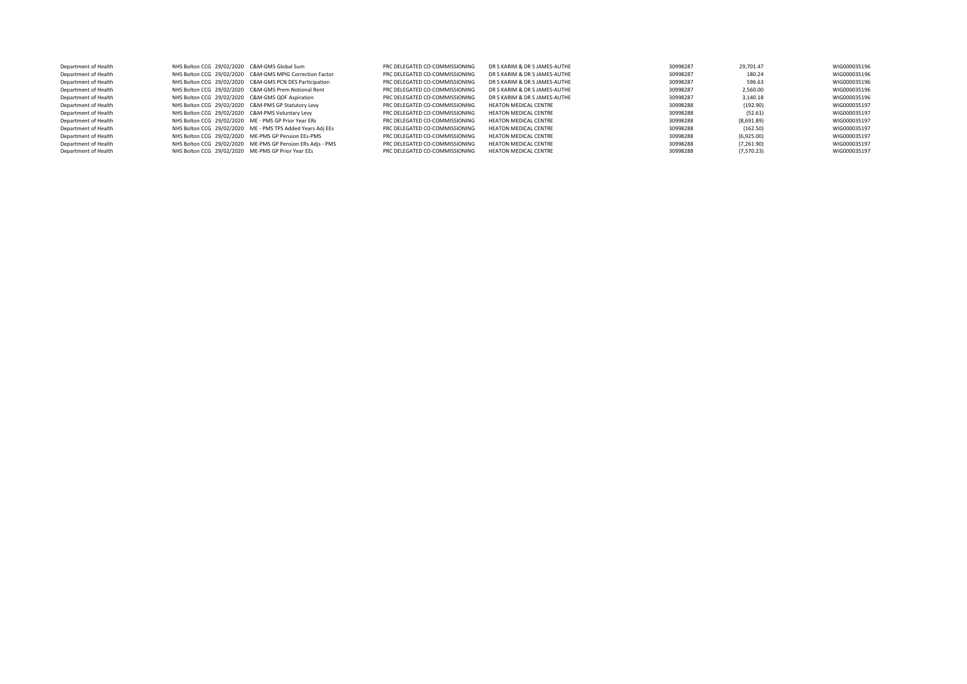| Department of Health | NHS Bolton CCG 29/02/2020 C&M-GMS Global Sum         |                                                            | PRC DELEGATED CO-COMMISSIONING | DR S KARIM & DR S JAMES-AUTHE | 30998287 | 29.701.47  | WIG000035196 |
|----------------------|------------------------------------------------------|------------------------------------------------------------|--------------------------------|-------------------------------|----------|------------|--------------|
| Department of Health |                                                      | NHS Bolton CCG 29/02/2020 C&M-GMS MPIG Correction Factor   | PRC DELEGATED CO-COMMISSIONING | DR S KARIM & DR S JAMES-AUTHE | 30998287 | 180.24     | WIG000035196 |
| Department of Health |                                                      | NHS Bolton CCG 29/02/2020 C&M-GMS PCN DES Participation    | PRC DELEGATED CO-COMMISSIONING | DR S KARIM & DR S IAMES-AUTHE | 30998287 | 596.63     | WIG000035196 |
| Department of Health |                                                      | NHS Bolton CCG 29/02/2020 C&M-GMS Prem Notional Rent       | PRC DELEGATED CO-COMMISSIONING | DR S KARIM & DR S JAMES-AUTHE | 30998287 | 2.560.00   | WIG000035196 |
| Department of Health | NHS Bolton CCG 29/02/2020 C&M-GMS QOF Aspiration     |                                                            | PRC DELEGATED CO-COMMISSIONING | DR S KARIM & DR S JAMES-AUTHE | 30998287 | 3.140.18   | WIG000035196 |
| Department of Health | NHS Bolton CCG 29/02/2020 C&M-PMS GP Statutory Levy  |                                                            | PRC DELEGATED CO-COMMISSIONING | <b>HEATON MEDICAL CENTRE</b>  | 30998288 | (192.90)   | WIG000035197 |
| Department of Health | NHS Bolton CCG 29/02/2020 C&M-PMS Voluntary Levy     |                                                            | PRC DELEGATED CO-COMMISSIONING | <b>HEATON MEDICAL CENTRE</b>  | 30998288 | (52.61)    | WIG000035197 |
| Department of Health | NHS Bolton CCG 29/02/2020 ME - PMS GP Prior Year ERs |                                                            | PRC DELEGATED CO-COMMISSIONING | <b>HEATON MEDICAL CENTRE</b>  | 30998288 | (8,691.89) | WIG000035197 |
| Department of Health |                                                      | NHS Bolton CCG 29/02/2020 ME - PMS TPS Added Years Adi EEs | PRC DELEGATED CO-COMMISSIONING | <b>HEATON MEDICAL CENTRE</b>  | 30998288 | (162.50)   | WIG000035197 |
| Department of Health |                                                      | NHS Bolton CCG 29/02/2020 ME-PMS GP Pension EEs-PMS        | PRC DELEGATED CO-COMMISSIONING | <b>HEATON MEDICAL CENTRE</b>  | 30998288 | (6,925.00) | WIG000035197 |
| Department of Health |                                                      | NHS Bolton CCG 29/02/2020 ME-PMS GP Pension ERs Adjs - PMS | PRC DELEGATED CO-COMMISSIONING | <b>HEATON MEDICAL CENTRE</b>  | 30998288 | (7,261.90) | WIG000035197 |
| Department of Health | NHS Bolton CCG 29/02/2020 ME-PMS GP Prior Year EEs   |                                                            | PRC DELEGATED CO-COMMISSIONING | <b>HEATON MEDICAL CENTRE</b>  | 30998288 | (7,570.23) | WIG000035197 |
|                      |                                                      |                                                            |                                |                               |          |            |              |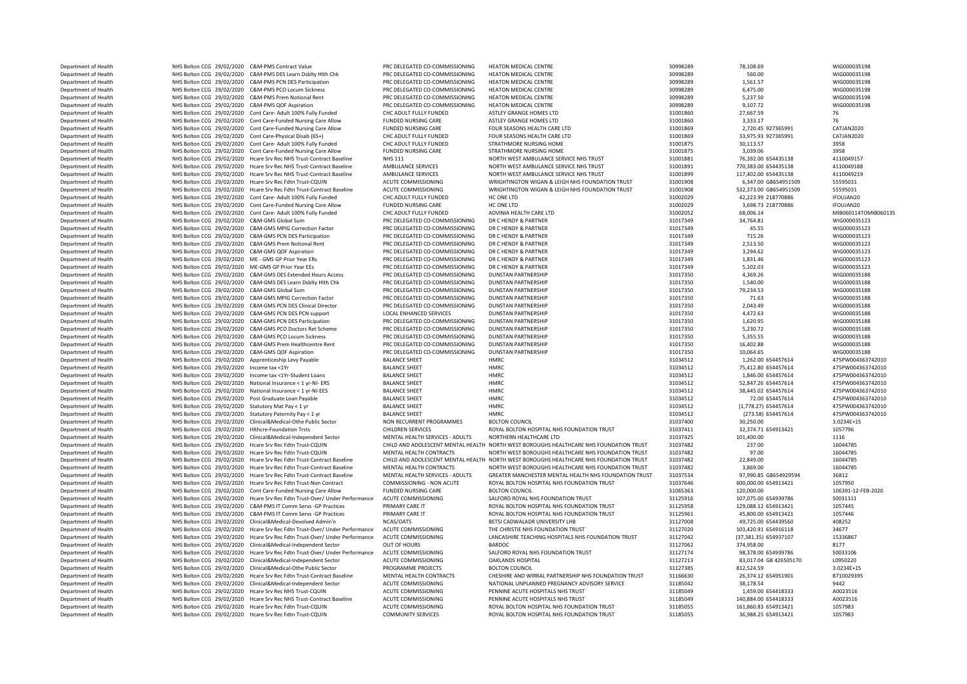Department of Health NHS Bolton CCG 29/02/2020 C&M-PMS Contract Value PRC DELEGATED CO-COMMISSIONING HEATON MEDICAL CENTRE 30998289 78,108.69 78,108.69 78,108.69 WIG000035198<br>Department of Health NHS Bolton CCG 29/02/2020 Department of Health NHS Bolton CCG 29/02/2020 C&M-PMS DES Learn Dsblty Hlth Chk PRC DELEGATED CO-COMMISSIONING HEATON MEDICAL CENTRE 30998289 560.00 560.00 MIG000035198<br>Department of Health NHS Bolton CCG 29/02/2020 C&M-P Department of Health NHS Bolton CCG 29/02/2020 C&M-PMS PCN DES Participation PRC DELEGATED CO-COMMISSIONING HEATON MEDICAL CENTRE 30998289 30998289 1,561.57 1,561.57 WIG000035198 20998289 1,561.57 WIG000035198 20998289 1,5 Department of Health NHS Bolton CCG 29/02/2020 C&M-PMS PCO Locum Sickness PRC DELEGATED CO-COMMISSIONING HEATON MEDICAL CENTRE 30998289 6,475.00 6,475.00 WIG000035198<br>Department of Health NHS Bolton CCC 29/02/2020 C&M-PMS Department of Health NHS Bolton CCG 29/02/2020 C&M-PMS Prem Notional Rent PRC DELEGATED CO-COMMISSIONING HEATON MEDICAL CENTRE 30998289 5,237.50 WIG000035198 Department of Health NHS Bolton CCG 29/02/2020 C&M-PMS QOF Aspiration PRC DELEGATED CO-COMMISSIONING HEATON MEDICAL CENTRE 30998289 9,107.72 9,107.72 WIG000035198<br>Department of Health NHS Bolton CCG 29/02/2020 Cont Care- A Department of Health NHS Bolton CCG 29/02/2020 Cont Care- Adult 100% Fully Funded CHC ADULT FULLY FUNDED ASTLEY GRANGE HOMES LTD 31001860 31001860 27,667.59 27,667.59 Department of Health NHS Bolton CCG 29/02/2020 Cont Care-Funded Nursing Care Allow FUNDED NURSING CARE ASTLEY GRANGE HOMES LTD 31001860 3,333.17 76 Department of Health NHS Bolton CCG 29/02/2020 Cont Care-Funded Nursing Care Allow FUNDED NURSING CARE FOUR SEASONS HEALTH CARE LTD 31001869 2,720.45 927365991 CATJAN2020 Department of Health NHS Bolton CCG 29/02/2020 Cont Care-Physical Disab (65+) CHC ADULT FULLY FUNDED FOUR SEASONS HEALTH CARE LTD 31001869 31001869 33,975.93 927365991 CATJ<br>Department of Health NHS Bolton CCG 29/02/2020 Co Department of Health NHS Bolton CCG 29/02/2020 Cont Care- Adult 100% Fully Funded CHC ADULT FULLY FUNDED STRATHMORE NURSING HOME 31001875 30,113.57 30,113.57 30,113.57 30,113.57 30,113.57 30,113.57 30,113.57 30,113.57 30,1 Department of Health NHS Bolton CCG 29/02/2020 Cont Care-Funded Nursing Care Allow FUNDED NURSING CARE STRATHMORE NURSING HOME 31001875 3,039.06 3958 Department of Health NHS Bolton CCG 29/02/2020 Hcare Srv Rec NHS Trust-Contract Baseline NHS 111 NORTH WEST AMBULANCE SERVICE NHS TRUST NEW 31001881 76,392.00 654435138 4110049188<br>Department of Health NHS Bolton CCG 29/02/ Department of Health NHS Bolton CCG 29/02/2020 Hcare Srv Rec NHS Trust-Contract Baseline AMBULANCE SERVICES NORTH WEST AMBULANCE SERVICE NHS TRUST 31001891 770,383.00 654435138 4110049188<br>Department of Health NHS Bolton CC Department of Health NHS Bolton CCG 29/02/2020 Hcare Srv Rec NHS Trust-Contract Baseline AMBULANCE SERVICES NORTH WEST AMBULANCE SERVICE NHS TRUST 31001899 117,402.00 654435138 411004921<br>Department of Health NHS Bolton CCG Department of Health NHS Bolton CCG 29/02/2020 Hcare Srv Rec Fdtn Trust-CQUIN ACUTE COMMISSIONING WRIGHTINGTON WIGAN & LEIGH NHS FOUNDATION TRUST 31001908 6,347.00 GB654951509 55595031 56595031 57595031 57696131 5866249515 Department of Health NHS Bolton CCG 29/02/2020 Hcare Srv Rec Fdtn Trust-Contract Baseline ACUTE COMMISSIONING WRIGHTINGTON WIGAN & LEIGH NHS FOUNDATION TRUST 31001908 532,373.00 GB654951509 55595031 55595031 55595031 55595 Department of Health NHS Bolton CCG 29/02/2020 Cont Care- Adult 100% Fully Funded CHC ADULT FULLY FUNDED HC ONE LTD HC ONE LTD 31002029 42,223.99 218770886 IFOUJAN20<br>Department of Health NHS Bolton CCG 29/02/2020 Cont Care Department of Health NHS Bolton CCG 29/02/2020 Cont Care-Funded Nursing Care Allow FUNDED NURSING CARE HC ONE LTD 31002029 3,698.73 218770886 IFOUJAN20 IFOUJAN20<br>Department of Health NHS Bolton CCG 29/02/2020 Cont Care-Adu Department of Health MHS Bolton CCG 29/02/2020 Cont Care- Adult 100% Fully Funded CHC ADULT FULLY FUNDED ADVINIA HEALTH CARE LTD 31002052 68,006.14 68,006.14 MIB060114TOM<br>Department of Health MHS Bolton CCG 29/02/2020 C&M-Department of Health NHS Bolton CCG 29/02/2020 C&M-GMS Global Sum PRC DELEGATED CO-COMMISSIONING DR C HENDY & PARTNER 31017349 31017349 34,764.81 34,764.81 WIG000035123<br>Department of Health NHS Bolton CCG 29/02/2020 C&M-GM Department of Health **1986 MHS Bolton CCG 29/02/2020 C&M-GMS MPIG** Correction Factor PRC DELEGATED CO-COMMISSIONING DR C HENDY & PARTNER 31017349 31017349 45.55 WIG00035123<br>Department of Health MHS Bolton CCG 29/02/2020 C& Department of Health **1986 MHS Bolton CCG 29/02/2020 C&M-GMS PC**N DES Participation PRC DELEGATED CO-COMMISSIONING DR C HENDY & PARTNER 31017349 31017349 715.26 715.26 WIG00035123<br>Department of Health NHS Bolton CCG 29/02/ Department of Health NHS Bolton CCG 29/02/2020 C&M-GMS Prem Notional Rent PRC DELEGATED CO-COMMISSIONING DR C HENDY & PARTNER 31017349 2,513.50 2,513.50 WIG00035123<br>Department of Health NHS Bolton CCG 29/02/2020 C&M-GMS OF Department of Health **1986 MHS Bolton CCG 29/02/2020 C&M-GMS QOF Aspiration** PRC DELEGATED CO-COMMISSIONING DR C HENDY & PARTNER 31017349 3.294.62 3,294.62 WIG000035123<br>Department of Health NHS Bolton CCG 29/02/2020 ME - G NHS Bolton CCG 29/02/2020 ME - GMS GP Prior Year ERs Department of Health NHS Bolton CCG 29/02/2020 ME-GMS GP Prior Year EEs PRC DELEGATED CO-COMMISSIONING DR C HENDY & PARTNER 31017349 5,102.03 5,102.03 WIG000035123 Department of Health **1986 MHS Bolton CCG 29/02/2020 C&M-GMS DES** Extended Hours Access PRC DELEGATED CO-COMMISSIONING DUNSTAN PARTNERSHIP 31017350 4,369.26 4,369.26 4,369.26 WIG000035188<br>Department of Health MHS Bolton CC NHS Bolton CCG 29/02/2020 C&M-GMS DES Learn Dsblty Hlth Chk Department of Health 29,234.53 NHS Bolton CCG 29/02/2020 C&M-GMS Global Sum PRC DELEGATED CO-COMMISSIONING DUNSTAN PARTNERSHIP 31017350 79,234.53 79,234.53 WIG000035188<br>Department of Health NHS Bolton CCG 29/02/2020 C&M-GM Department of Health NHS Bolton CCG 29/02/2020 C&M-GMS MPIG Correction Factor PRC DELEGATED CO-COMMISSIONING DUNSTAN PARTNERSHIP 31017350 31017350 71.63 71.63 WIG00035188<br>Department of Health NHS Bolton CCG 29/02/2020 C&M-Department of Health NHS Bolton CCG 29/02/2020 C&M-GMS PCM DES Clinical Director PRC DELEGATED CO-COMMISSIONING DUNSTAN PARTNERSHIP 31017350 31017350 2,043.49 WIG000035188<br>Department of Health NHS Bolton CCG 29/02/2020 C&M Department of Health NHS Bolton CCG 29/02/2020 C&M-GMS PCN DES PCN support LOCAL ENHANCED SERVICES DUNSTAN PARTNERSHIP 31017350 4,472.63 WIG000035188 Department of Health MHS Bolton CCG 29/02/2020 C&M-GMS PCM DES Participation PRC DELEGATED CO-COMMISSIONING DUNSTAN PARTNERSHIP DESCRIPTION 31017350 1,620.95 1,620.95 WIG000035188<br>Department of Health MHS Bolton CCG 29/02/ Department of Health NHS Bolton CCG 29/02/2020 C&M-GMS PCO Doctors Ret Scheme PRC DELEGATED CO-COMMISSIONING DUNSTAN PARTNERSHIP 31017350 5,230.72 5,300.72 WIG000035188<br>Department of Health NHS Bolton CCG 29/02/2020 C&M-GM Department of Health MHS Bolton CCG 29/02/2020 C&M-GMS PCO Locum Sickness PRC DELEGATED CO-COMMISSIONING DUNSTAN PARTNERSHIP 31017350 5,355.55 55 555.55 WIG000035188 Department of Health NHS Bolton CCG 29/02/2020 C&M-GMS Prem Healthcentre Rent PRC DELEGATED CO-COMMISSIONING DUNSTAN PARTNERSHIP 31017350 16,402.88 16,402.88 WIG000035188<br>Department of Health NHS Bolton CG 29/02/2020 C&M-G Department of Health NHS Bolton CCG 29/02/2020 C&M-GMS QOF Aspiration PRC DELEGATED CO-COMMISSIONING DUNSTAN PARTNERSHIP 31017350 10,064.65 WIG000035188 0epartment of Health 1,262.00 654457614 MHS Bolton CCG 29/02/2020 Apprenticeship Levy Payable BALANCE SHEET HMRC HMRC 2010 1,262.00 654457614 51034512 1,262.00 654457614 475PW004363742010 1,262.00 654457614 475PW004363742 Department of Health NHS Bolton CCG 29/02/2020 Income tax <1Yr Alberta MHS BALANCE SHEET HMRC 31034512 75,412.80 654457614 475PW004363742010 1246.00 654457614 475PW004363742010 1246.00 654457614 475PW004363742010 1246.00 6 Department of Health NHS Bolton CCG 29/02/2020 Income tax <1Yr-Student Loans BALANCE SHEET HMRC HMRC NHS BOLTON 31034512 1,846.00 654457614 475PW004363742010 475PW004363742010 1,846.00 654457614 475PW004363742010 475PW0043 Department of Health NHS Bolton CCG 29/02/2020 National Insurance < 1 yr-NI- ERS BALANCE SHEET HMRC NEED HMRC 31034512 52,847.26 654457614 475PW004363742010 Department of Health NHS Bolton CCG 29/02/2020 National Insurance < 1 yr-NI-EES BALANCE SHEET HMRC HMRC 31034512 38,445.02 654457614 475PW004363742010 Department of Health 1983 NHS Bolton CCG 29/02/2020 Post Graduate Loan Payable BALANCE SHEET SALANCE SHEET HMRC HISTOR SALANCE SHEET SALANCE SHEET SALANCE SHEET SALANCE SHEET SALANCE SHEET SALANCE SHEET SALANCE SHEET SALAN <table>\n<tbody>\n<tr>\n<th>Department of Health</th>\n<th>NHS Bottom CGC 29/02/020</th>\n<th>Satutory Mat Pay &lt;1 yr</th>\n<th>BALANCE SHEET</th>\n<th>HMRC</th>\n<th>HMRC</th>\n<th>31034512</th>\n<th>31034512</th>\n<th>1,778.27) 654457614</th>\n<th>475PW004363742010</th>\n</tr>\n<tr>\n<td>Department of Health</td>\n<td>NHS Bottom CGG 29/02/020</td>\n<td>Statutory Patentory Parting Pay &lt;1 yr</td>\n<td>BAI ANCE S Department of Health NHS Bolton CCG 29/02/2020 Statutory Paternity Pay < 1 yr BALANCE SHEET HMRC HEALTH HMRC 31034512 (273.58) 654457614 475PW00436<br>Department of Health NHS Bolton CCG 29/02/2020 Statutory Paternity Pay = 1 NHS Bolton CCG 29/02/2020 Clinical&Medical-Othe Public Sector NON RECURRENT PROGRAMMES BOLTON COUNCIL 30000 30,250.00 3.0234E+150.00 3.0234E+150.00 3.0234E+150.00 3.0234E+150.00 3.0234E+150.00 3.0234E+150.00 3.0234E+150.00 Department of Health NHS Bolton CCG 29/02/2020 Hlthcre-Foundation Trsts CHILDREN SERVICES ROYAL BOLYAL BOLYAL BOLYAL ROLTON HOSPITAL NHS FOUNDATION TRUST 31037411 Department of Health NHS Bolton CCG 29/02/2020 Clinical&Medical-Independent Sector MENTAL HEALTH SERVICES - ADULTS NORTHERN HEALTHCARE LTD 31037425 31037425 101,400.00 1116<br>Department of Health NHS Bolton CCG 29/02/2020 Hc CHILD AND ADOLESCENT MENTAL HEALTH NORTH WEST BOROUGHS HEALTHCARE NHS FOUNDATION TRUST Department of Health NHS Bolton CCG 29/02/2020 Hcare Srv Rec Fdtn Trust-CQUIN MENTAL HEALTH CONTRACTS NORTH WEST BOROUGHS HEALTH CARE NHS FOUNDATION TRUST 31037482 97.00 97.00 16044785<br>Department of Health NHS Bolton CCG 2 Department of Health NHS Bolton CCG 29/02/2020 Hcare Srv Rec Fdtn Trust-Contract Baseline CHILD AND ADOLESCENT MENTAL HEALTH NORTH WEST BOROUGHS HEALTHCARE NHS FOUNDATION TRUST 31037482 22,849.00 16044785 23,859.00 1604478 Department of Health **NHS Bolton CCG 29/02/2020** Hcare Srv Rec Edtn Trust-Contract Baseline Department of Health NHS Bolton CCG 29/02/2020 Hcare Srv Rec Fdtn Trust-Contract Baseline MENTAL HEALTH SERVICES - ADULTS GREATER MANCHESTER MENTAL HEALTH NHS FOUNDATION TRUST 31037534 97,990.85 GB654929594 36812<br>Departmen NHS Bolton CCG 29/02/2020 Hcare Srv Rec Fdtn Trust-Non Contract Department of Health MHS Bolton CCG 29/02/2020 Cont Care-Funded Nursing Care Allow FUNDED NURSING CARE BOLTON COUNCIL BOLTON COUNCIL 31005363 120,000.00 1063991-12-FEB-2020 106391-12-FEB-2020 120,000 2013111 20,000 2013111 Department of Health NHS Bolton CCG 29/02/2020 Hcare Srv Rec Fdtn Trust-Over/ Under Performance ACUTE COMMISSIONING SALFORD ROYAL NHS FOUNDATION TRUST SALTTEN 31125916 107,075.00 654939786 S0031311<br>Department of Health NHS Department of Health NHS Bolton CCG 29/02/2020 C&M-PMS IT Comm Servs -GP Practices PRIMARY CARE IT Department of Health MHS Bolton CCG 29/02/2020 C&M-PMS IT Comm Servs -GP Practices PRIMARY CARE IT ROYAL BOLTON HOSPITAL NHS FOUNDATION TRUST 31125961 45,800.00 654913421 1057446 1057446 12.59 1057446 12.59 1057446 1057446 Department of Health 19,725.00 654439560 NHS Bolton CCG 29/02/2020 Clinical&Medical-Devolved Admin'n NCAS/OATS BETSI CADWALADR UNIVERSITY LHB 3712700 31127008 40825.00 40825.00 40825.00 40825.00 40825.00 40825 103.420.91 6 Department of Health NHS Bolton CCG 29/02/2020 Hcare Srv Rec Fdtn Trust-Over/ Under Performance ACUTE COMMISSIONING THE CHRISTIE NHS FOUNDATION TRUST 31127020 103,420.91 654916118 34677<br>Department of Health Shahr CCG 29/0 Department of Health NHS Bolton CCG 29/02/2020 Hcare Srv Rec Fdtn Trust-Over/ Under Performance ACUTE COMMISSIONING LANCASHIRE TEACHING HOSPITALS NHS FOUNDATION TRUST 31127042 (37,381.35) 654937107 15336<br>Department of Heal Department of Health NHS Bolton CCG 29/02/2020 Clinical&Medical-Independent Sector OUT OF HOURS BARDOC BARDOC 31127062 31127062 374,958.00 374,958.00 3177<br>Department of Health Solton CCG 29/02/2020 Heare Sou Recreated Trus Department of Health NHS Bolton CCG 29/02/2020 Hcare Srv Rec Fdtn Trust-Over/ Under Performance ACUTE COMMISSIONING SALFORD ROYAL NHS FOUNDATION TRUST 31127174 98,378.00 654939786 S0033106<br>Department of Health NHS Bolton C Department of Health NHS Bolton CCG 29/02/2020 Clinical&Medical-Independent Sector ACUTE COMMISSIONING OAKLANDS HOSPITAL 31127213 83,017.04 GB 426505170 L0950220 Department of Health NHS Bolton CCG 29/02/2020 Clinical&Medical-Othe Public Sector PROGRAMME PROJECTS BOLTON COUNCIL 31127385 812,524.59 3.0234E+15 Department of Health NHS Bolton CCG 29/02/2020 Hcare Srv Rec Fdtn Trust-Contract Baseline MENTAL HEALTH CONTRACTS CHESHIRE AND WIRRAL PARTNERSHIP NHS FOUNDATION TRUST 31166630 26,374.12 654951901 8710<br>Department of Health Department of Health NHS Bolton CCG 29/02/2020 Clinical&Medical-Independent Sector ACUTE COMMISSIONING NATIONAL UNPLANNED PREGNANCY ADVISORY SERVICE 31185042 31185042 38,178.54 38,178.54 38,178.54 38,178.54 38,178.54 38,17 DEPARTMENT OF ANTI-DEPARTMENT OF HEALTH NET ACCOMMISSION COMMISSIONING PENNING PENNING PENNING PENNING PENNING PENNING PENNING PENNING PENNING PENNING PENNING PENNING ACCOMMISSION ACCOMMISSION ACCOMMISSION AND ACCOMMISSION Department of Health NHS Bolton CCG 29/02/2020 Hcare Srv Rec NHS Trust-Contract Baseline ACUTE COMMISSIONING PENNINE ACUTE HOSPITALS NHS TRUST 31185049 140,884.00 654418333 A0023516<br>Department of Health NHS Bolton CCG 29/0 Department NHS Bolton CCG 29/02/2020 Hcare Srv Rec Edtn Trust-COUIN Department of Health NHS Bolton CCG 29/02/2020 Hcare Srv Rec Fdtn Trust-COUIN COMMUNITY SERVICES ROYAL BOLTON HOSPITAL NHS FOUNDATION TRUST 31185055 316,988.25 654913421 1057983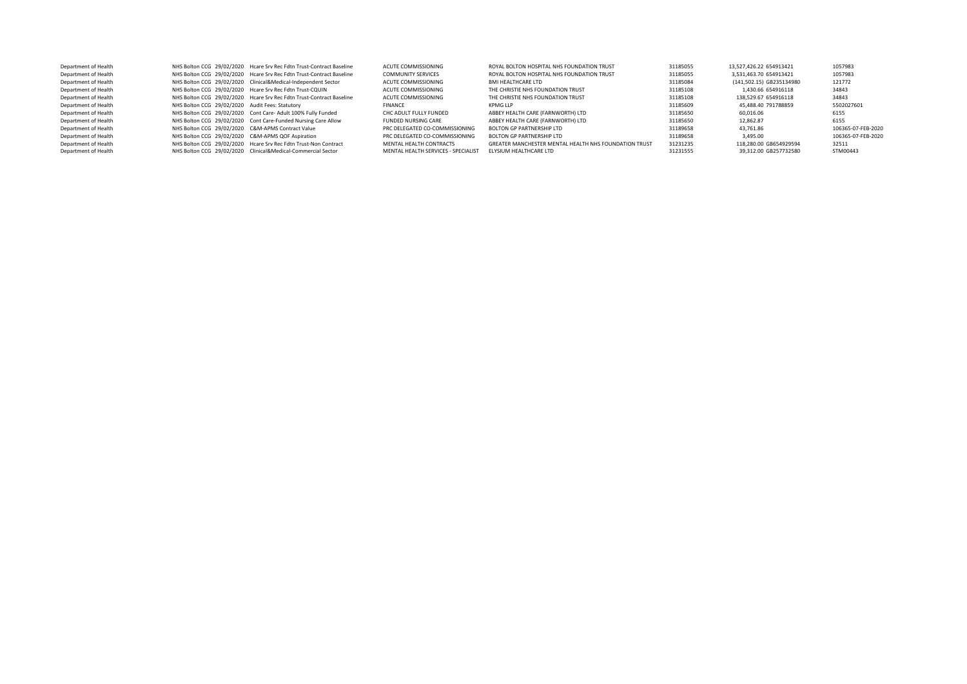| Department of Health |                                                   | NHS Bolton CCG 29/02/2020 Hcare Srv Rec Fdtn Trust-Contract Baseline | ACUTE COMMISSIONING                 | ROYAL BOLTON HOSPITAL NHS FOUNDATION TRUST            | 31185055 | 13.527.426.22 654913421  | 1057983            |
|----------------------|---------------------------------------------------|----------------------------------------------------------------------|-------------------------------------|-------------------------------------------------------|----------|--------------------------|--------------------|
| Department of Health |                                                   | NHS Bolton CCG 29/02/2020 Hcare Srv Rec Fdtn Trust-Contract Baseline | <b>COMMUNITY SERVICES</b>           | ROYAL BOLTON HOSPITAL NHS FOUNDATION TRUST            | 31185055 | 3.531.463.70 654913421   | 1057983            |
| Department of Health |                                                   | NHS Bolton CCG 29/02/2020 Clinical&Medical-Independent Sector        | ACUTE COMMISSIONING                 | BMI HEALTHCARE LTD                                    | 31185084 | (141,502.15) GB235134980 | 121772             |
| Department of Health |                                                   | NHS Bolton CCG 29/02/2020 Hcare Srv Rec Fdtn Trust-CQUIN             | ACUTE COMMISSIONING                 | THE CHRISTIE NHS FOUNDATION TRUST                     | 31185108 | 1.430.66 654916118       | 34843              |
| Department of Health |                                                   | NHS Bolton CCG 29/02/2020 Hcare Srv Rec Fdtn Trust-Contract Baseline | ACUTE COMMISSIONING                 | THE CHRISTIE NHS FOUNDATION TRUST                     | 31185108 | 138.529.67 654916118     | 34843              |
| Department of Health | NHS Bolton CCG 29/02/2020 Audit Fees: Statutory   |                                                                      | <b>FINANCE</b>                      | KPMG IIP                                              | 31185609 | 45.488.40 791788859      | 5502027601         |
| Department of Health |                                                   | NHS Bolton CCG 29/02/2020 Cont Care- Adult 100% Fully Funded         | CHC ADULT FULLY FUNDED              | ABBEY HEALTH CARE (FARNWORTH) LTD                     | 31185650 | 60.016.06                | 6155               |
| Department of Health |                                                   | NHS Bolton CCG 29/02/2020 Cont Care-Funded Nursing Care Allow        | <b>FUNDED NURSING CARE</b>          | ABBEY HEALTH CARE (FARNWORTH) LTD                     | 31185650 | 12.862.87                | 6155               |
| Department of Health | NHS Bolton CCG 29/02/2020 C&M-APMS Contract Value |                                                                      | PRC DELEGATED CO-COMMISSIONING      | BOLTON GP PARTNERSHIP LTD                             | 31189658 | 43.761.86                | 106365-07-FEB-2020 |
| Department of Health | NHS Bolton CCG 29/02/2020 C&M-APMS QOF Aspiration |                                                                      | PRC DELEGATED CO-COMMISSIONING      | BOLTON GP PARTNERSHIP LTD                             | 31189658 | 3.495.00                 | 106365-07-FEB-2020 |
| Department of Health |                                                   | NHS Bolton CCG 29/02/2020 Hcare Srv Rec Fdtn Trust-Non Contract      | MENTAL HEALTH CONTRACTS             | GREATER MANCHESTER MENTAL HEALTH NHS FOUNDATION TRUST | 31231235 | 118,280.00 GB654929594   | 32511              |
| Department of Health |                                                   | NHS Bolton CCG 29/02/2020 Clinical&Medical-Commercial Sector         | MENTAL HEALTH SERVICES - SPECIALIST | FIYSIUM HEALTHCARE LTD                                | 31231555 | 39.312.00 GB257732580    | STM00443           |
|                      |                                                   |                                                                      |                                     |                                                       |          |                          |                    |